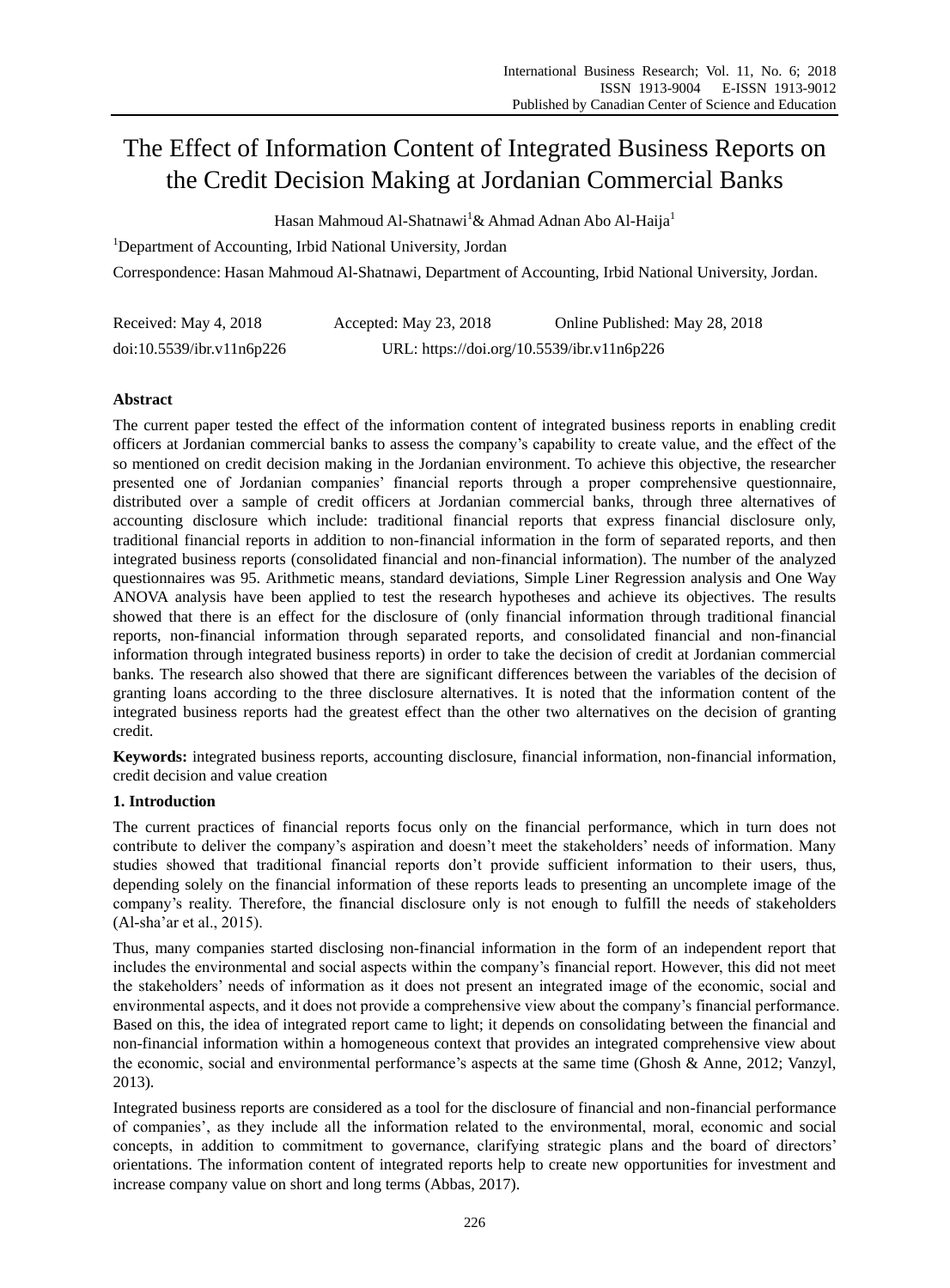# The Effect of Information Content of Integrated Business Reports on the Credit Decision Making at Jordanian Commercial Banks

Hasan Mahmoud Al-Shatnawi<sup>1</sup>& Ahmad Adnan Abo Al-Haija<sup>1</sup>

<sup>1</sup>Department of Accounting, Irbid National University, Jordan

Correspondence: Hasan Mahmoud Al-Shatnawi, Department of Accounting, Irbid National University, Jordan.

| Received: May 4, 2018     | Accepted: May 23, 2018 | Online Published: May 28, 2018             |
|---------------------------|------------------------|--------------------------------------------|
| doi:10.5539/ibr.v11n6p226 |                        | URL: https://doi.org/10.5539/ibr.v11n6p226 |

# **Abstract**

The current paper tested the effect of the information content of integrated business reports in enabling credit officers at Jordanian commercial banks to assess the company's capability to create value, and the effect of the so mentioned on credit decision making in the Jordanian environment. To achieve this objective, the researcher presented one of Jordanian companies' financial reports through a proper comprehensive questionnaire, distributed over a sample of credit officers at Jordanian commercial banks, through three alternatives of accounting disclosure which include: traditional financial reports that express financial disclosure only, traditional financial reports in addition to non-financial information in the form of separated reports, and then integrated business reports (consolidated financial and non-financial information). The number of the analyzed questionnaires was 95. Arithmetic means, standard deviations, Simple Liner Regression analysis and One Way ANOVA analysis have been applied to test the research hypotheses and achieve its objectives. The results showed that there is an effect for the disclosure of (only financial information through traditional financial reports, non-financial information through separated reports, and consolidated financial and non-financial information through integrated business reports) in order to take the decision of credit at Jordanian commercial banks. The research also showed that there are significant differences between the variables of the decision of granting loans according to the three disclosure alternatives. It is noted that the information content of the integrated business reports had the greatest effect than the other two alternatives on the decision of granting credit.

**Keywords:** integrated business reports, accounting disclosure, financial information, non-financial information, credit decision and value creation

# **1. Introduction**

The current practices of financial reports focus only on the financial performance, which in turn does not contribute to deliver the company's aspiration and doesn't meet the stakeholders' needs of information. Many studies showed that traditional financial reports don't provide sufficient information to their users, thus, depending solely on the financial information of these reports leads to presenting an uncomplete image of the company's reality. Therefore, the financial disclosure only is not enough to fulfill the needs of stakeholders (Al-sha'ar et al., 2015).

Thus, many companies started disclosing non-financial information in the form of an independent report that includes the environmental and social aspects within the company's financial report. However, this did not meet the stakeholders' needs of information as it does not present an integrated image of the economic, social and environmental aspects, and it does not provide a comprehensive view about the company's financial performance. Based on this, the idea of integrated report came to light; it depends on consolidating between the financial and non-financial information within a homogeneous context that provides an integrated comprehensive view about the economic, social and environmental performance's aspects at the same time (Ghosh & Anne, 2012; Vanzyl, 2013).

Integrated business reports are considered as a tool for the disclosure of financial and non-financial performance of companies', as they include all the information related to the environmental, moral, economic and social concepts, in addition to commitment to governance, clarifying strategic plans and the board of directors' orientations. The information content of integrated reports help to create new opportunities for investment and increase company value on short and long terms (Abbas, 2017).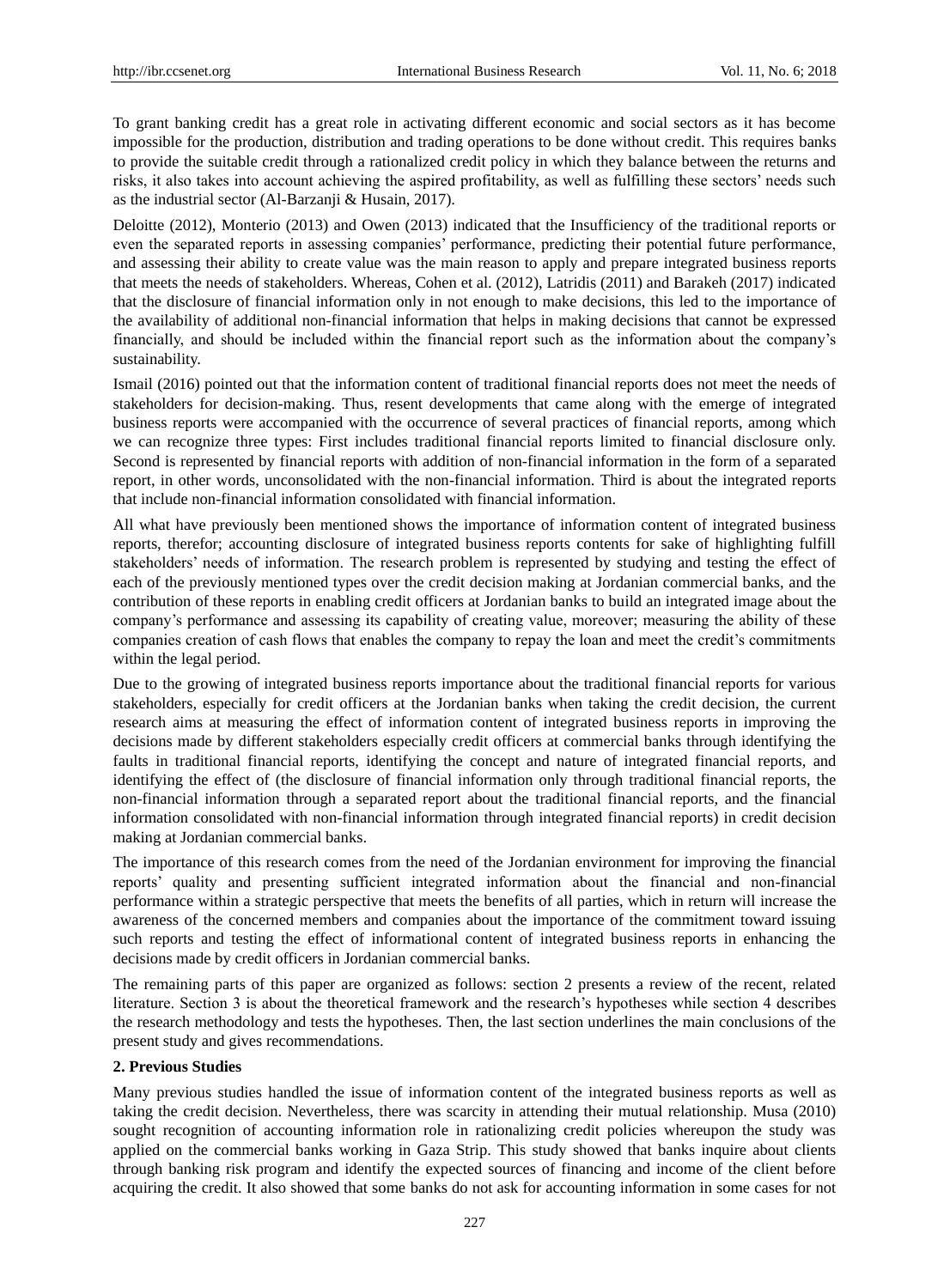To grant banking credit has a great role in activating different economic and social sectors as it has become impossible for the production, distribution and trading operations to be done without credit. This requires banks to provide the suitable credit through a rationalized credit policy in which they balance between the returns and risks, it also takes into account achieving the aspired profitability, as well as fulfilling these sectors' needs such as the industrial sector (Al-Barzanji & Husain, 2017).

Deloitte (2012), Monterio (2013) and Owen (2013) indicated that the Insufficiency of the traditional reports or even the separated reports in assessing companies' performance, predicting their potential future performance, and assessing their ability to create value was the main reason to apply and prepare integrated business reports that meets the needs of stakeholders. Whereas, Cohen et al. (2012), Latridis (2011) and Barakeh (2017) indicated that the disclosure of financial information only in not enough to make decisions, this led to the importance of the availability of additional non-financial information that helps in making decisions that cannot be expressed financially, and should be included within the financial report such as the information about the company's sustainability.

Ismail (2016) pointed out that the information content of traditional financial reports does not meet the needs of stakeholders for decision-making. Thus, resent developments that came along with the emerge of integrated business reports were accompanied with the occurrence of several practices of financial reports, among which we can recognize three types: First includes traditional financial reports limited to financial disclosure only. Second is represented by financial reports with addition of non-financial information in the form of a separated report, in other words, unconsolidated with the non-financial information. Third is about the integrated reports that include non-financial information consolidated with financial information.

All what have previously been mentioned shows the importance of information content of integrated business reports, therefor; accounting disclosure of integrated business reports contents for sake of highlighting fulfill stakeholders' needs of information. The research problem is represented by studying and testing the effect of each of the previously mentioned types over the credit decision making at Jordanian commercial banks, and the contribution of these reports in enabling credit officers at Jordanian banks to build an integrated image about the company's performance and assessing its capability of creating value, moreover; measuring the ability of these companies creation of cash flows that enables the company to repay the loan and meet the credit's commitments within the legal period.

Due to the growing of integrated business reports importance about the traditional financial reports for various stakeholders, especially for credit officers at the Jordanian banks when taking the credit decision, the current research aims at measuring the effect of information content of integrated business reports in improving the decisions made by different stakeholders especially credit officers at commercial banks through identifying the faults in traditional financial reports, identifying the concept and nature of integrated financial reports, and identifying the effect of (the disclosure of financial information only through traditional financial reports, the non-financial information through a separated report about the traditional financial reports, and the financial information consolidated with non-financial information through integrated financial reports) in credit decision making at Jordanian commercial banks.

The importance of this research comes from the need of the Jordanian environment for improving the financial reports' quality and presenting sufficient integrated information about the financial and non-financial performance within a strategic perspective that meets the benefits of all parties, which in return will increase the awareness of the concerned members and companies about the importance of the commitment toward issuing such reports and testing the effect of informational content of integrated business reports in enhancing the decisions made by credit officers in Jordanian commercial banks.

The remaining parts of this paper are organized as follows: section 2 presents a review of the recent, related literature. Section 3 is about the theoretical framework and the research's hypotheses while section 4 describes the research methodology and tests the hypotheses. Then, the last section underlines the main conclusions of the present study and gives recommendations.

## **2. Previous Studies**

Many previous studies handled the issue of information content of the integrated business reports as well as taking the credit decision. Nevertheless, there was scarcity in attending their mutual relationship. Musa (2010) sought recognition of accounting information role in rationalizing credit policies whereupon the study was applied on the commercial banks working in Gaza Strip. This study showed that banks inquire about clients through banking risk program and identify the expected sources of financing and income of the client before acquiring the credit. It also showed that some banks do not ask for accounting information in some cases for not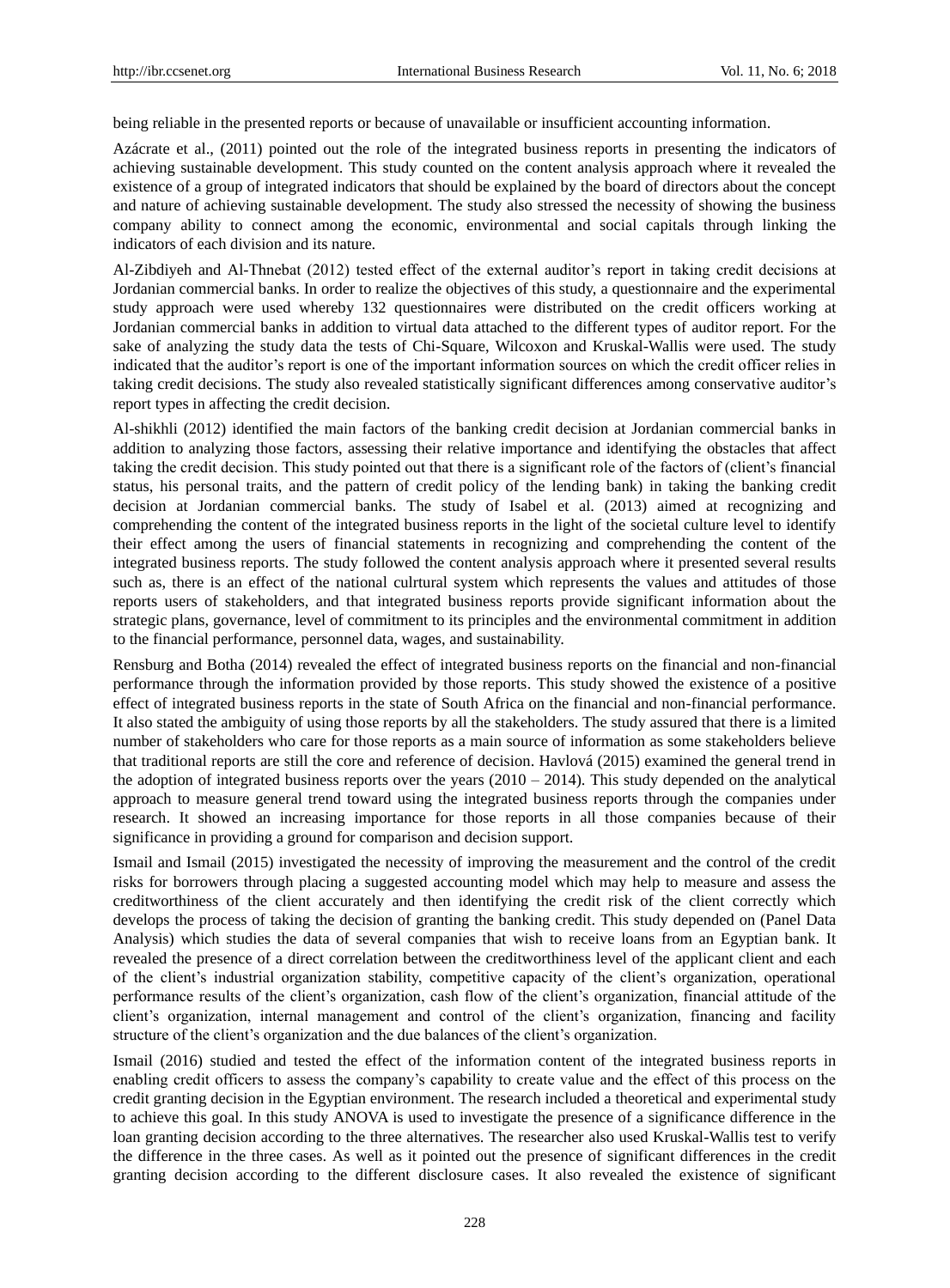being reliable in the presented reports or because of unavailable or insufficient accounting information.

Azácrate et al., (2011) pointed out the role of the integrated business reports in presenting the indicators of achieving sustainable development. This study counted on the content analysis approach where it revealed the existence of a group of integrated indicators that should be explained by the board of directors about the concept and nature of achieving sustainable development. The study also stressed the necessity of showing the business company ability to connect among the economic, environmental and social capitals through linking the indicators of each division and its nature.

Al-Zibdiyeh and Al-Thnebat (2012) tested effect of the external auditor's report in taking credit decisions at Jordanian commercial banks. In order to realize the objectives of this study, a questionnaire and the experimental study approach were used whereby 132 questionnaires were distributed on the credit officers working at Jordanian commercial banks in addition to virtual data attached to the different types of auditor report. For the sake of analyzing the study data the tests of Chi-Square, Wilcoxon and Kruskal-Wallis were used. The study indicated that the auditor's report is one of the important information sources on which the credit officer relies in taking credit decisions. The study also revealed statistically significant differences among conservative auditor's report types in affecting the credit decision.

Al-shikhli (2012) identified the main factors of the banking credit decision at Jordanian commercial banks in addition to analyzing those factors, assessing their relative importance and identifying the obstacles that affect taking the credit decision. This study pointed out that there is a significant role of the factors of (client's financial status, his personal traits, and the pattern of credit policy of the lending bank) in taking the banking credit decision at Jordanian commercial banks. The study of Isabel et al. (2013) aimed at recognizing and comprehending the content of the integrated business reports in the light of the societal culture level to identify their effect among the users of financial statements in recognizing and comprehending the content of the integrated business reports. The study followed the content analysis approach where it presented several results such as, there is an effect of the national culrtural system which represents the values and attitudes of those reports users of stakeholders, and that integrated business reports provide significant information about the strategic plans, governance, level of commitment to its principles and the environmental commitment in addition to the financial performance, personnel data, wages, and sustainability.

Rensburg and Botha (2014) revealed the effect of integrated business reports on the financial and non-financial performance through the information provided by those reports. This study showed the existence of a positive effect of integrated business reports in the state of South Africa on the financial and non-financial performance. It also stated the ambiguity of using those reports by all the stakeholders. The study assured that there is a limited number of stakeholders who care for those reports as a main source of information as some stakeholders believe that traditional reports are still the core and reference of decision. Havlová (2015) examined the general trend in the adoption of integrated business reports over the years  $(2010 - 2014)$ . This study depended on the analytical approach to measure general trend toward using the integrated business reports through the companies under research. It showed an increasing importance for those reports in all those companies because of their significance in providing a ground for comparison and decision support.

Ismail and Ismail (2015) investigated the necessity of improving the measurement and the control of the credit risks for borrowers through placing a suggested accounting model which may help to measure and assess the creditworthiness of the client accurately and then identifying the credit risk of the client correctly which develops the process of taking the decision of granting the banking credit. This study depended on (Panel Data Analysis) which studies the data of several companies that wish to receive loans from an Egyptian bank. It revealed the presence of a direct correlation between the creditworthiness level of the applicant client and each of the client's industrial organization stability, competitive capacity of the client's organization, operational performance results of the client's organization, cash flow of the client's organization, financial attitude of the client's organization, internal management and control of the client's organization, financing and facility structure of the client's organization and the due balances of the client's organization.

Ismail (2016) studied and tested the effect of the information content of the integrated business reports in enabling credit officers to assess the company's capability to create value and the effect of this process on the credit granting decision in the Egyptian environment. The research included a theoretical and experimental study to achieve this goal. In this study ANOVA is used to investigate the presence of a significance difference in the loan granting decision according to the three alternatives. The researcher also used Kruskal-Wallis test to verify the difference in the three cases. As well as it pointed out the presence of significant differences in the credit granting decision according to the different disclosure cases. It also revealed the existence of significant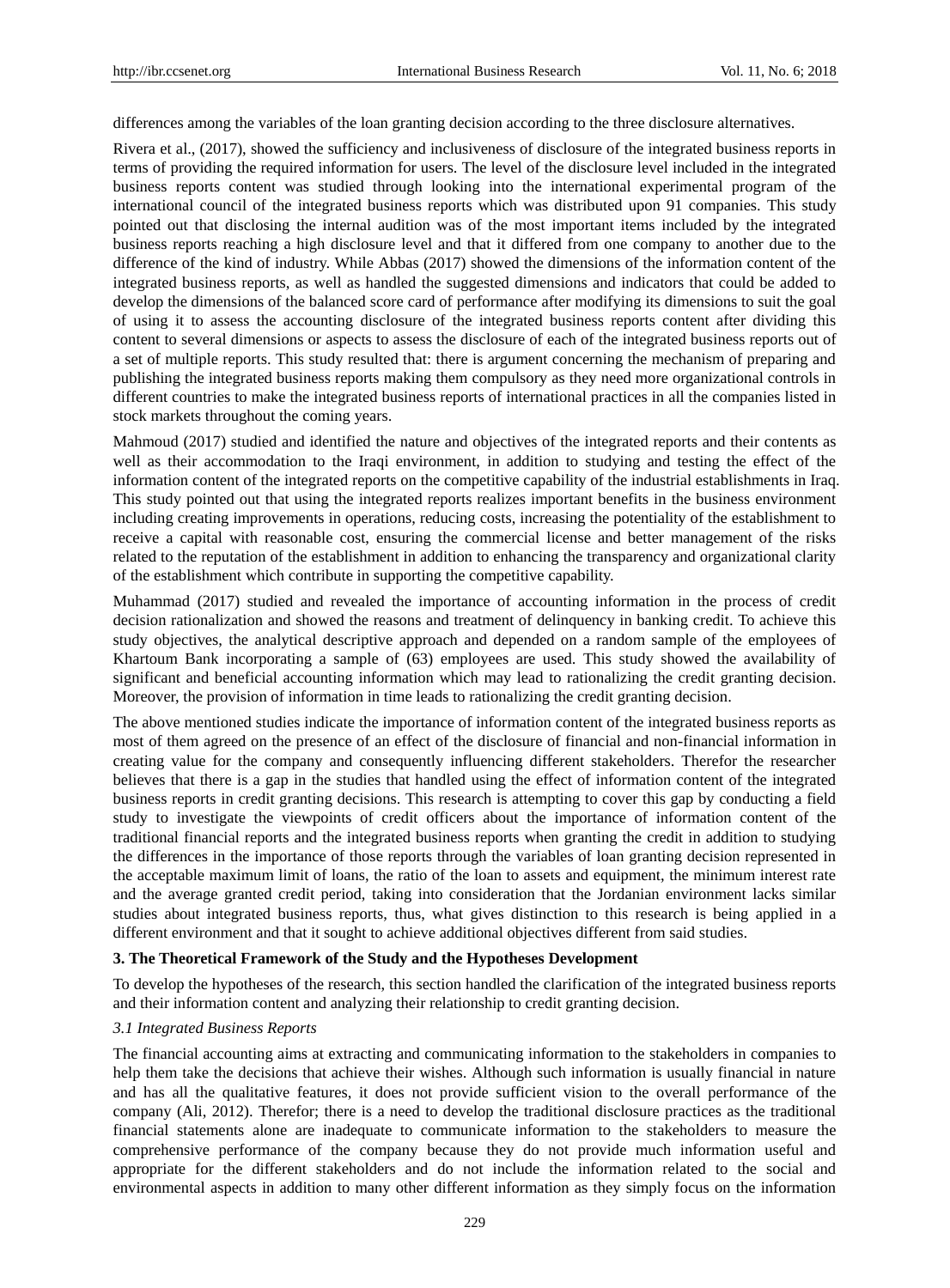differences among the variables of the loan granting decision according to the three disclosure alternatives.

Rivera et al., (2017), showed the sufficiency and inclusiveness of disclosure of the integrated business reports in terms of providing the required information for users. The level of the disclosure level included in the integrated business reports content was studied through looking into the international experimental program of the international council of the integrated business reports which was distributed upon 91 companies. This study pointed out that disclosing the internal audition was of the most important items included by the integrated business reports reaching a high disclosure level and that it differed from one company to another due to the difference of the kind of industry. While Abbas (2017) showed the dimensions of the information content of the integrated business reports, as well as handled the suggested dimensions and indicators that could be added to develop the dimensions of the balanced score card of performance after modifying its dimensions to suit the goal of using it to assess the accounting disclosure of the integrated business reports content after dividing this content to several dimensions or aspects to assess the disclosure of each of the integrated business reports out of a set of multiple reports. This study resulted that: there is argument concerning the mechanism of preparing and publishing the integrated business reports making them compulsory as they need more organizational controls in different countries to make the integrated business reports of international practices in all the companies listed in stock markets throughout the coming years.

Mahmoud (2017) studied and identified the nature and objectives of the integrated reports and their contents as well as their accommodation to the Iraqi environment, in addition to studying and testing the effect of the information content of the integrated reports on the competitive capability of the industrial establishments in Iraq. This study pointed out that using the integrated reports realizes important benefits in the business environment including creating improvements in operations, reducing costs, increasing the potentiality of the establishment to receive a capital with reasonable cost, ensuring the commercial license and better management of the risks related to the reputation of the establishment in addition to enhancing the transparency and organizational clarity of the establishment which contribute in supporting the competitive capability.

Muhammad (2017) studied and revealed the importance of accounting information in the process of credit decision rationalization and showed the reasons and treatment of delinquency in banking credit. To achieve this study objectives, the analytical descriptive approach and depended on a random sample of the employees of Khartoum Bank incorporating a sample of (63) employees are used. This study showed the availability of significant and beneficial accounting information which may lead to rationalizing the credit granting decision. Moreover, the provision of information in time leads to rationalizing the credit granting decision.

The above mentioned studies indicate the importance of information content of the integrated business reports as most of them agreed on the presence of an effect of the disclosure of financial and non-financial information in creating value for the company and consequently influencing different stakeholders. Therefor the researcher believes that there is a gap in the studies that handled using the effect of information content of the integrated business reports in credit granting decisions. This research is attempting to cover this gap by conducting a field study to investigate the viewpoints of credit officers about the importance of information content of the traditional financial reports and the integrated business reports when granting the credit in addition to studying the differences in the importance of those reports through the variables of loan granting decision represented in the acceptable maximum limit of loans, the ratio of the loan to assets and equipment, the minimum interest rate and the average granted credit period, taking into consideration that the Jordanian environment lacks similar studies about integrated business reports, thus, what gives distinction to this research is being applied in a different environment and that it sought to achieve additional objectives different from said studies.

## **3. The Theoretical Framework of the Study and the Hypotheses Development**

To develop the hypotheses of the research, this section handled the clarification of the integrated business reports and their information content and analyzing their relationship to credit granting decision.

#### *3.1 Integrated Business Reports*

The financial accounting aims at extracting and communicating information to the stakeholders in companies to help them take the decisions that achieve their wishes. Although such information is usually financial in nature and has all the qualitative features, it does not provide sufficient vision to the overall performance of the company (Ali, 2012). Therefor; there is a need to develop the traditional disclosure practices as the traditional financial statements alone are inadequate to communicate information to the stakeholders to measure the comprehensive performance of the company because they do not provide much information useful and appropriate for the different stakeholders and do not include the information related to the social and environmental aspects in addition to many other different information as they simply focus on the information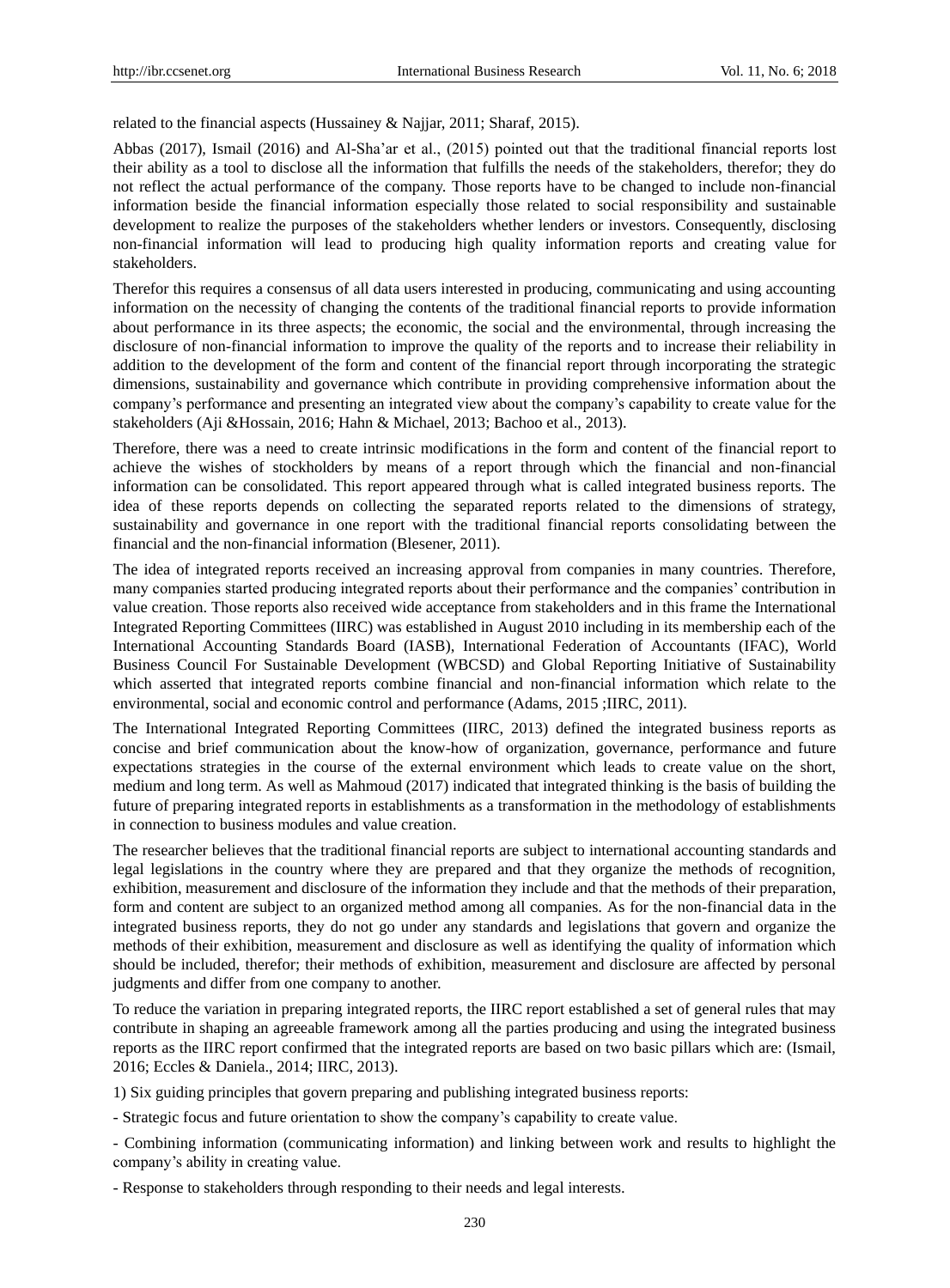related to the financial aspects (Hussainey & Najjar, 2011; Sharaf, 2015).

Abbas (2017), Ismail (2016) and Al-Sha'ar et al., (2015) pointed out that the traditional financial reports lost their ability as a tool to disclose all the information that fulfills the needs of the stakeholders, therefor; they do not reflect the actual performance of the company. Those reports have to be changed to include non-financial information beside the financial information especially those related to social responsibility and sustainable development to realize the purposes of the stakeholders whether lenders or investors. Consequently, disclosing non-financial information will lead to producing high quality information reports and creating value for stakeholders.

Therefor this requires a consensus of all data users interested in producing, communicating and using accounting information on the necessity of changing the contents of the traditional financial reports to provide information about performance in its three aspects; the economic, the social and the environmental, through increasing the disclosure of non-financial information to improve the quality of the reports and to increase their reliability in addition to the development of the form and content of the financial report through incorporating the strategic dimensions, sustainability and governance which contribute in providing comprehensive information about the company's performance and presenting an integrated view about the company's capability to create value for the stakeholders (Aji &Hossain, 2016; Hahn & Michael, 2013; Bachoo et al., 2013).

Therefore, there was a need to create intrinsic modifications in the form and content of the financial report to achieve the wishes of stockholders by means of a report through which the financial and non-financial information can be consolidated. This report appeared through what is called integrated business reports. The idea of these reports depends on collecting the separated reports related to the dimensions of strategy, sustainability and governance in one report with the traditional financial reports consolidating between the financial and the non-financial information (Blesener, 2011).

The idea of integrated reports received an increasing approval from companies in many countries. Therefore, many companies started producing integrated reports about their performance and the companies' contribution in value creation. Those reports also received wide acceptance from stakeholders and in this frame the International Integrated Reporting Committees (IIRC) was established in August 2010 including in its membership each of the International Accounting Standards Board (IASB), International Federation of Accountants (IFAC), World Business Council For Sustainable Development (WBCSD) and Global Reporting Initiative of Sustainability which asserted that integrated reports combine financial and non-financial information which relate to the environmental, social and economic control and performance (Adams, 2015 ;IIRC, 2011).

The International Integrated Reporting Committees (IIRC, 2013) defined the integrated business reports as concise and brief communication about the know-how of organization, governance, performance and future expectations strategies in the course of the external environment which leads to create value on the short, medium and long term. As well as Mahmoud (2017) indicated that integrated thinking is the basis of building the future of preparing integrated reports in establishments as a transformation in the methodology of establishments in connection to business modules and value creation.

The researcher believes that the traditional financial reports are subject to international accounting standards and legal legislations in the country where they are prepared and that they organize the methods of recognition, exhibition, measurement and disclosure of the information they include and that the methods of their preparation, form and content are subject to an organized method among all companies. As for the non-financial data in the integrated business reports, they do not go under any standards and legislations that govern and organize the methods of their exhibition, measurement and disclosure as well as identifying the quality of information which should be included, therefor; their methods of exhibition, measurement and disclosure are affected by personal judgments and differ from one company to another.

To reduce the variation in preparing integrated reports, the IIRC report established a set of general rules that may contribute in shaping an agreeable framework among all the parties producing and using the integrated business reports as the IIRC report confirmed that the integrated reports are based on two basic pillars which are: (Ismail, 2016; Eccles & Daniela., 2014; IIRC, 2013).

1) Six guiding principles that govern preparing and publishing integrated business reports:

- Strategic focus and future orientation to show the company's capability to create value.

- Combining information (communicating information) and linking between work and results to highlight the company's ability in creating value.

- Response to stakeholders through responding to their needs and legal interests.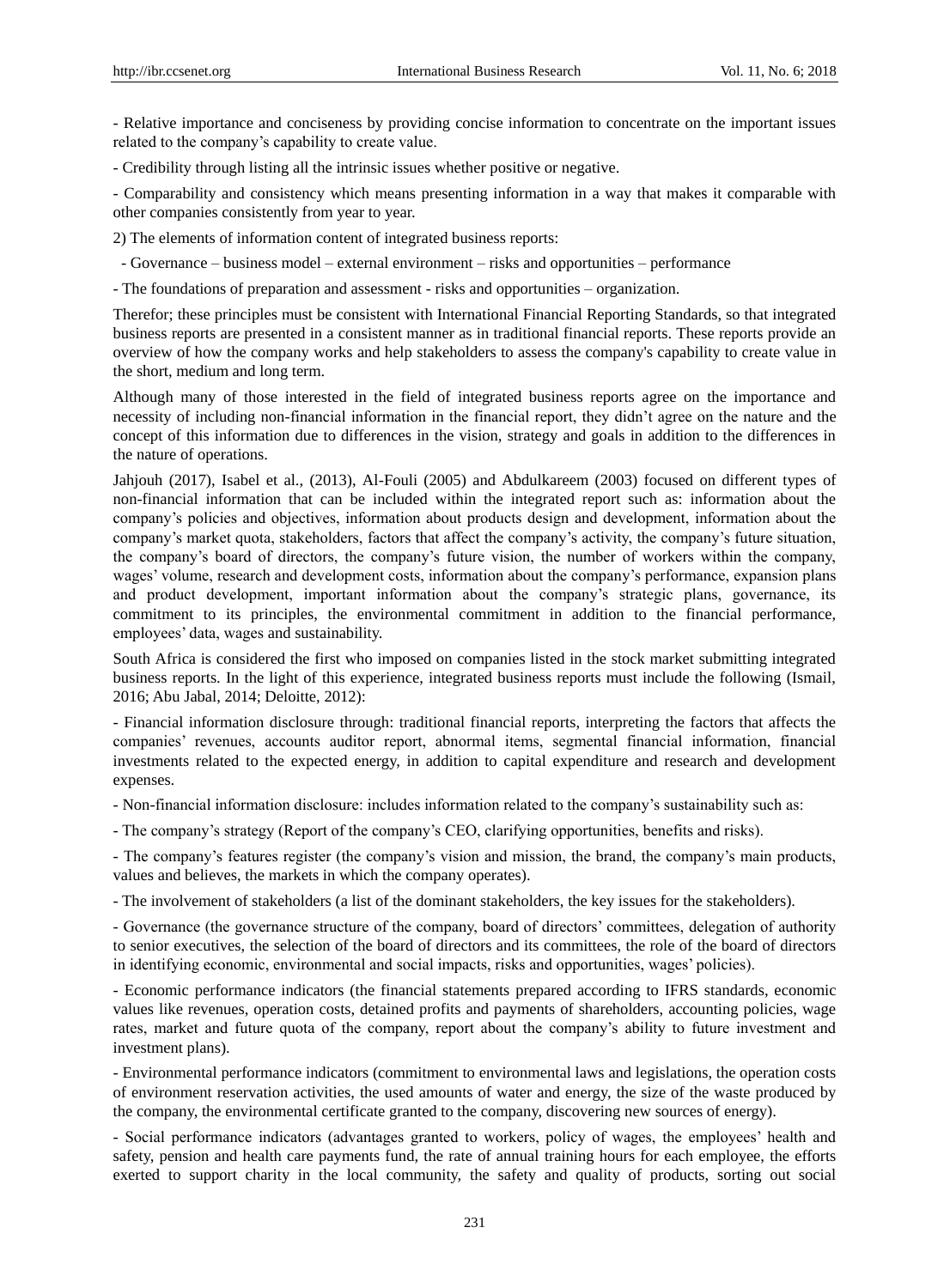- Relative importance and conciseness by providing concise information to concentrate on the important issues related to the company's capability to create value.

- Credibility through listing all the intrinsic issues whether positive or negative.

- Comparability and consistency which means presenting information in a way that makes it comparable with other companies consistently from year to year.

2) The elements of information content of integrated business reports:

- Governance – business model – external environment – risks and opportunities – performance

- The foundations of preparation and assessment - risks and opportunities – organization.

Therefor; these principles must be consistent with International Financial Reporting Standards, so that integrated business reports are presented in a consistent manner as in traditional financial reports. These reports provide an overview of how the company works and help stakeholders to assess the company's capability to create value in the short, medium and long term.

Although many of those interested in the field of integrated business reports agree on the importance and necessity of including non-financial information in the financial report, they didn't agree on the nature and the concept of this information due to differences in the vision, strategy and goals in addition to the differences in the nature of operations.

Jahjouh (2017), Isabel et al., (2013), Al-Fouli (2005) and Abdulkareem (2003) focused on different types of non-financial information that can be included within the integrated report such as: information about the company's policies and objectives, information about products design and development, information about the company's market quota, stakeholders, factors that affect the company's activity, the company's future situation, the company's board of directors, the company's future vision, the number of workers within the company, wages' volume, research and development costs, information about the company's performance, expansion plans and product development, important information about the company's strategic plans, governance, its commitment to its principles, the environmental commitment in addition to the financial performance, employees' data, wages and sustainability.

South Africa is considered the first who imposed on companies listed in the stock market submitting integrated business reports. In the light of this experience, integrated business reports must include the following (Ismail, 2016; Abu Jabal, 2014; Deloitte, 2012):

- Financial information disclosure through: traditional financial reports, interpreting the factors that affects the companies' revenues, accounts auditor report, abnormal items, segmental financial information, financial investments related to the expected energy, in addition to capital expenditure and research and development expenses.

- Non-financial information disclosure: includes information related to the company's sustainability such as:

- The company's strategy (Report of the company's CEO, clarifying opportunities, benefits and risks).

- The company's features register (the company's vision and mission, the brand, the company's main products, values and believes, the markets in which the company operates).

- The involvement of stakeholders (a list of the dominant stakeholders, the key issues for the stakeholders).

- Governance (the governance structure of the company, board of directors' committees, delegation of authority to senior executives, the selection of the board of directors and its committees, the role of the board of directors in identifying economic, environmental and social impacts, risks and opportunities, wages' policies).

- Economic performance indicators (the financial statements prepared according to IFRS standards, economic values like revenues, operation costs, detained profits and payments of shareholders, accounting policies, wage rates, market and future quota of the company, report about the company's ability to future investment and investment plans).

- Environmental performance indicators (commitment to environmental laws and legislations, the operation costs of environment reservation activities, the used amounts of water and energy, the size of the waste produced by the company, the environmental certificate granted to the company, discovering new sources of energy).

- Social performance indicators (advantages granted to workers, policy of wages, the employees' health and safety, pension and health care payments fund, the rate of annual training hours for each employee, the efforts exerted to support charity in the local community, the safety and quality of products, sorting out social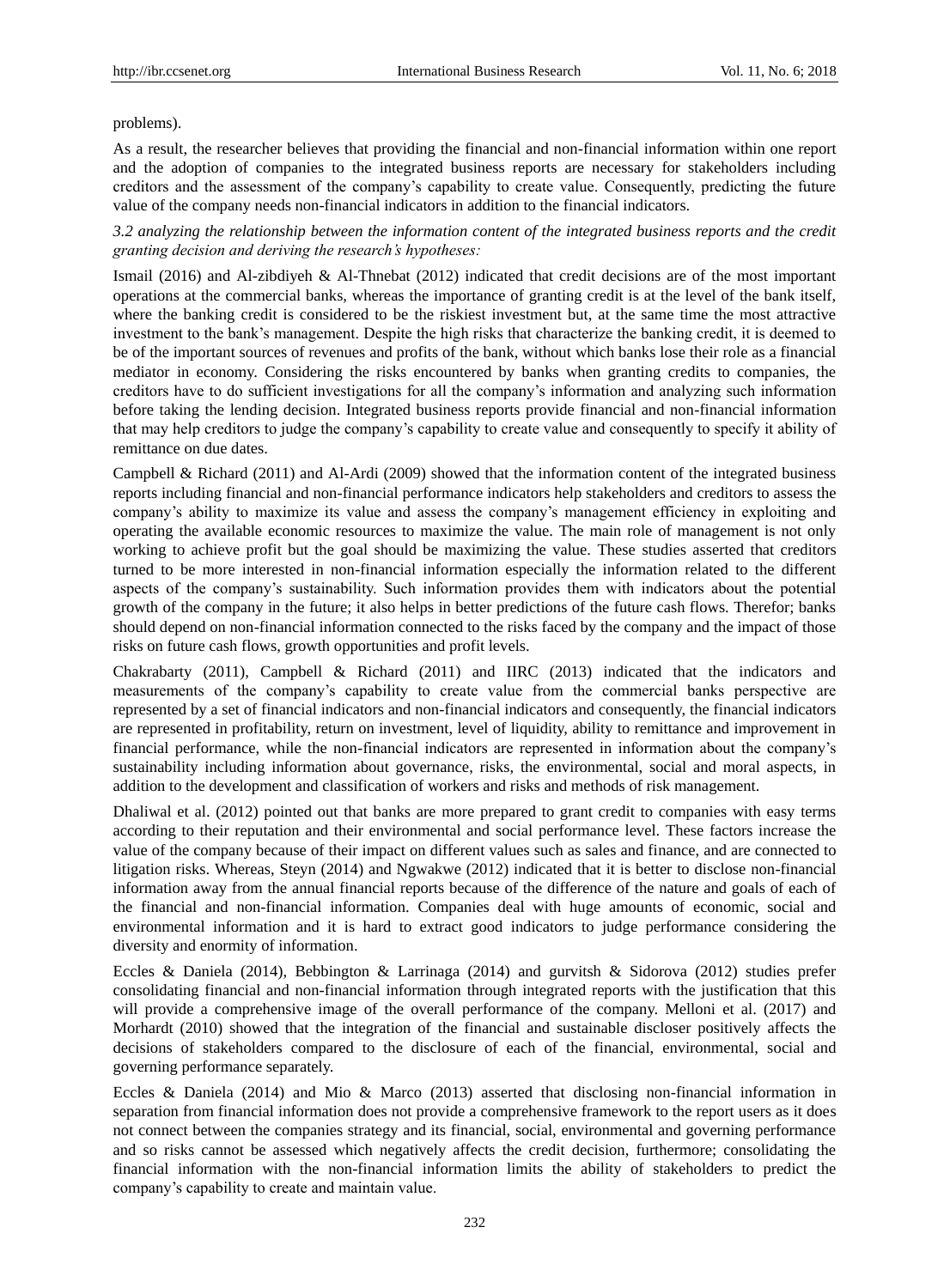#### problems).

As a result, the researcher believes that providing the financial and non-financial information within one report and the adoption of companies to the integrated business reports are necessary for stakeholders including creditors and the assessment of the company's capability to create value. Consequently, predicting the future value of the company needs non-financial indicators in addition to the financial indicators.

*3.2 analyzing the relationship between the information content of the integrated business reports and the credit granting decision and deriving the research's hypotheses:* 

Ismail (2016) and Al-zibdiyeh & Al-Thnebat (2012) indicated that credit decisions are of the most important operations at the commercial banks, whereas the importance of granting credit is at the level of the bank itself, where the banking credit is considered to be the riskiest investment but, at the same time the most attractive investment to the bank's management. Despite the high risks that characterize the banking credit, it is deemed to be of the important sources of revenues and profits of the bank, without which banks lose their role as a financial mediator in economy. Considering the risks encountered by banks when granting credits to companies, the creditors have to do sufficient investigations for all the company's information and analyzing such information before taking the lending decision. Integrated business reports provide financial and non-financial information that may help creditors to judge the company's capability to create value and consequently to specify it ability of remittance on due dates.

Campbell & Richard (2011) and Al-Ardi (2009) showed that the information content of the integrated business reports including financial and non-financial performance indicators help stakeholders and creditors to assess the company's ability to maximize its value and assess the company's management efficiency in exploiting and operating the available economic resources to maximize the value. The main role of management is not only working to achieve profit but the goal should be maximizing the value. These studies asserted that creditors turned to be more interested in non-financial information especially the information related to the different aspects of the company's sustainability. Such information provides them with indicators about the potential growth of the company in the future; it also helps in better predictions of the future cash flows. Therefor; banks should depend on non-financial information connected to the risks faced by the company and the impact of those risks on future cash flows, growth opportunities and profit levels.

Chakrabarty (2011), Campbell & Richard (2011) and IIRC (2013) indicated that the indicators and measurements of the company's capability to create value from the commercial banks perspective are represented by a set of financial indicators and non-financial indicators and consequently, the financial indicators are represented in profitability, return on investment, level of liquidity, ability to remittance and improvement in financial performance, while the non-financial indicators are represented in information about the company's sustainability including information about governance, risks, the environmental, social and moral aspects, in addition to the development and classification of workers and risks and methods of risk management.

Dhaliwal et al. (2012) pointed out that banks are more prepared to grant credit to companies with easy terms according to their reputation and their environmental and social performance level. These factors increase the value of the company because of their impact on different values such as sales and finance, and are connected to litigation risks. Whereas, Steyn (2014) and Ngwakwe (2012) indicated that it is better to disclose non-financial information away from the annual financial reports because of the difference of the nature and goals of each of the financial and non-financial information. Companies deal with huge amounts of economic, social and environmental information and it is hard to extract good indicators to judge performance considering the diversity and enormity of information.

Eccles & Daniela (2014), Bebbington & Larrinaga (2014) and gurvitsh & Sidorova (2012) studies prefer consolidating financial and non-financial information through integrated reports with the justification that this will provide a comprehensive image of the overall performance of the company. Melloni et al. (2017) and Morhardt (2010) showed that the integration of the financial and sustainable discloser positively affects the decisions of stakeholders compared to the disclosure of each of the financial, environmental, social and governing performance separately.

Eccles & Daniela (2014) and Mio & Marco (2013) asserted that disclosing non-financial information in separation from financial information does not provide a comprehensive framework to the report users as it does not connect between the companies strategy and its financial, social, environmental and governing performance and so risks cannot be assessed which negatively affects the credit decision, furthermore; consolidating the financial information with the non-financial information limits the ability of stakeholders to predict the company's capability to create and maintain value.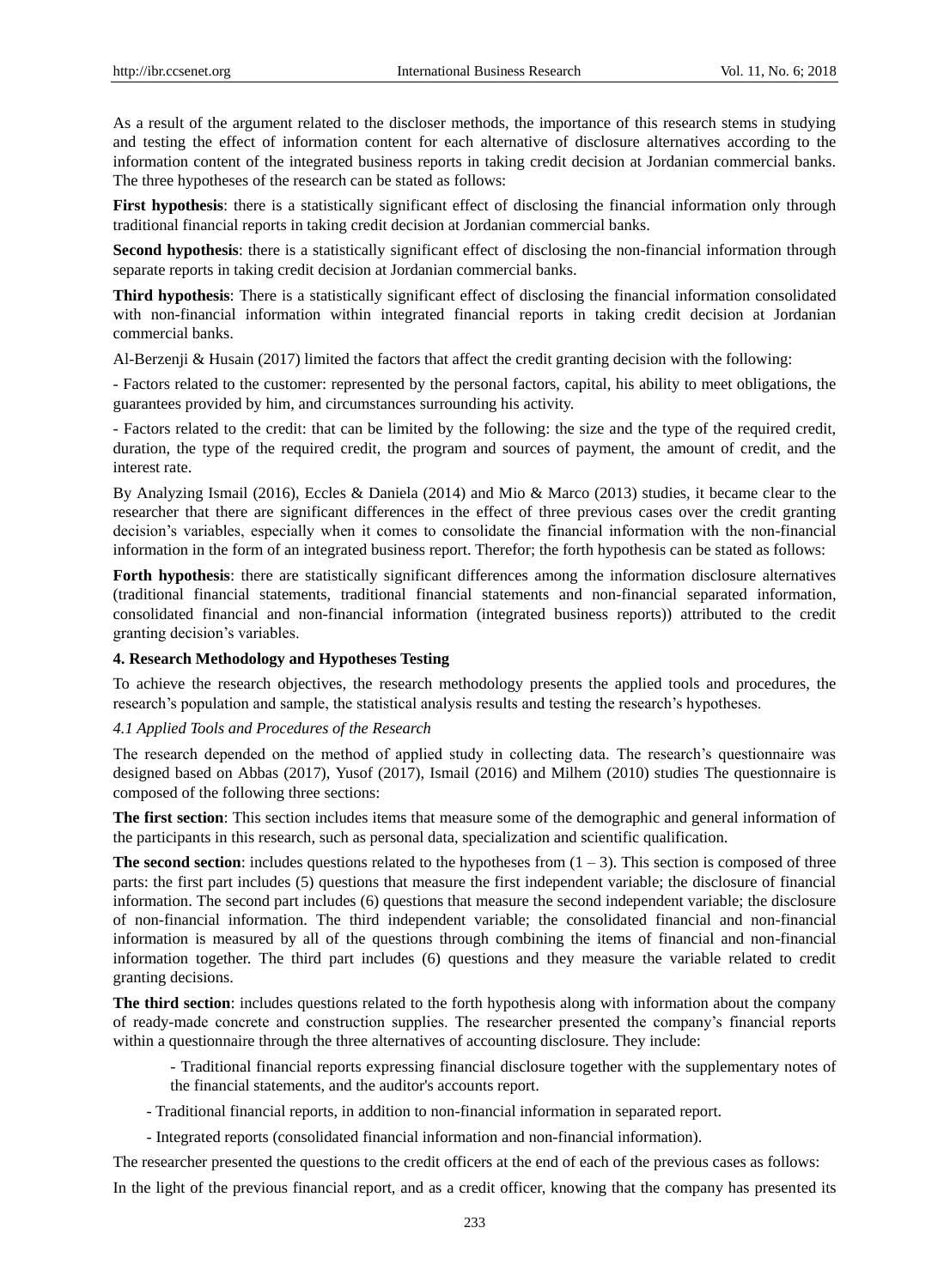As a result of the argument related to the discloser methods, the importance of this research stems in studying and testing the effect of information content for each alternative of disclosure alternatives according to the information content of the integrated business reports in taking credit decision at Jordanian commercial banks. The three hypotheses of the research can be stated as follows:

**First hypothesis**: there is a statistically significant effect of disclosing the financial information only through traditional financial reports in taking credit decision at Jordanian commercial banks.

**Second hypothesis**: there is a statistically significant effect of disclosing the non-financial information through separate reports in taking credit decision at Jordanian commercial banks.

**Third hypothesis**: There is a statistically significant effect of disclosing the financial information consolidated with non-financial information within integrated financial reports in taking credit decision at Jordanian commercial banks.

Al-Berzenji & Husain (2017) limited the factors that affect the credit granting decision with the following:

- Factors related to the customer: represented by the personal factors, capital, his ability to meet obligations, the guarantees provided by him, and circumstances surrounding his activity.

- Factors related to the credit: that can be limited by the following: the size and the type of the required credit, duration, the type of the required credit, the program and sources of payment, the amount of credit, and the interest rate.

By Analyzing Ismail (2016), Eccles & Daniela (2014) and Mio & Marco (2013) studies, it became clear to the researcher that there are significant differences in the effect of three previous cases over the credit granting decision's variables, especially when it comes to consolidate the financial information with the non-financial information in the form of an integrated business report. Therefor; the forth hypothesis can be stated as follows:

**Forth hypothesis**: there are statistically significant differences among the information disclosure alternatives (traditional financial statements, traditional financial statements and non-financial separated information, consolidated financial and non-financial information (integrated business reports)) attributed to the credit granting decision's variables.

## **4. Research Methodology and Hypotheses Testing**

To achieve the research objectives, the research methodology presents the applied tools and procedures, the research's population and sample, the statistical analysis results and testing the research's hypotheses.

## *4.1 Applied Tools and Procedures of the Research*

The research depended on the method of applied study in collecting data. The research's questionnaire was designed based on Abbas (2017), Yusof (2017), Ismail (2016) and Milhem (2010) studies The questionnaire is composed of the following three sections:

**The first section**: This section includes items that measure some of the demographic and general information of the participants in this research, such as personal data, specialization and scientific qualification.

**The second section**: includes questions related to the hypotheses from  $(1 - 3)$ . This section is composed of three parts: the first part includes (5) questions that measure the first independent variable; the disclosure of financial information. The second part includes (6) questions that measure the second independent variable; the disclosure of non-financial information. The third independent variable; the consolidated financial and non-financial information is measured by all of the questions through combining the items of financial and non-financial information together. The third part includes (6) questions and they measure the variable related to credit granting decisions.

**The third section**: includes questions related to the forth hypothesis along with information about the company of ready-made concrete and construction supplies. The researcher presented the company's financial reports within a questionnaire through the three alternatives of accounting disclosure. They include:

- Traditional financial reports expressing financial disclosure together with the supplementary notes of the financial statements, and the auditor's accounts report.

- Traditional financial reports, in addition to non-financial information in separated report.
- Integrated reports (consolidated financial information and non-financial information).

The researcher presented the questions to the credit officers at the end of each of the previous cases as follows:

In the light of the previous financial report, and as a credit officer, knowing that the company has presented its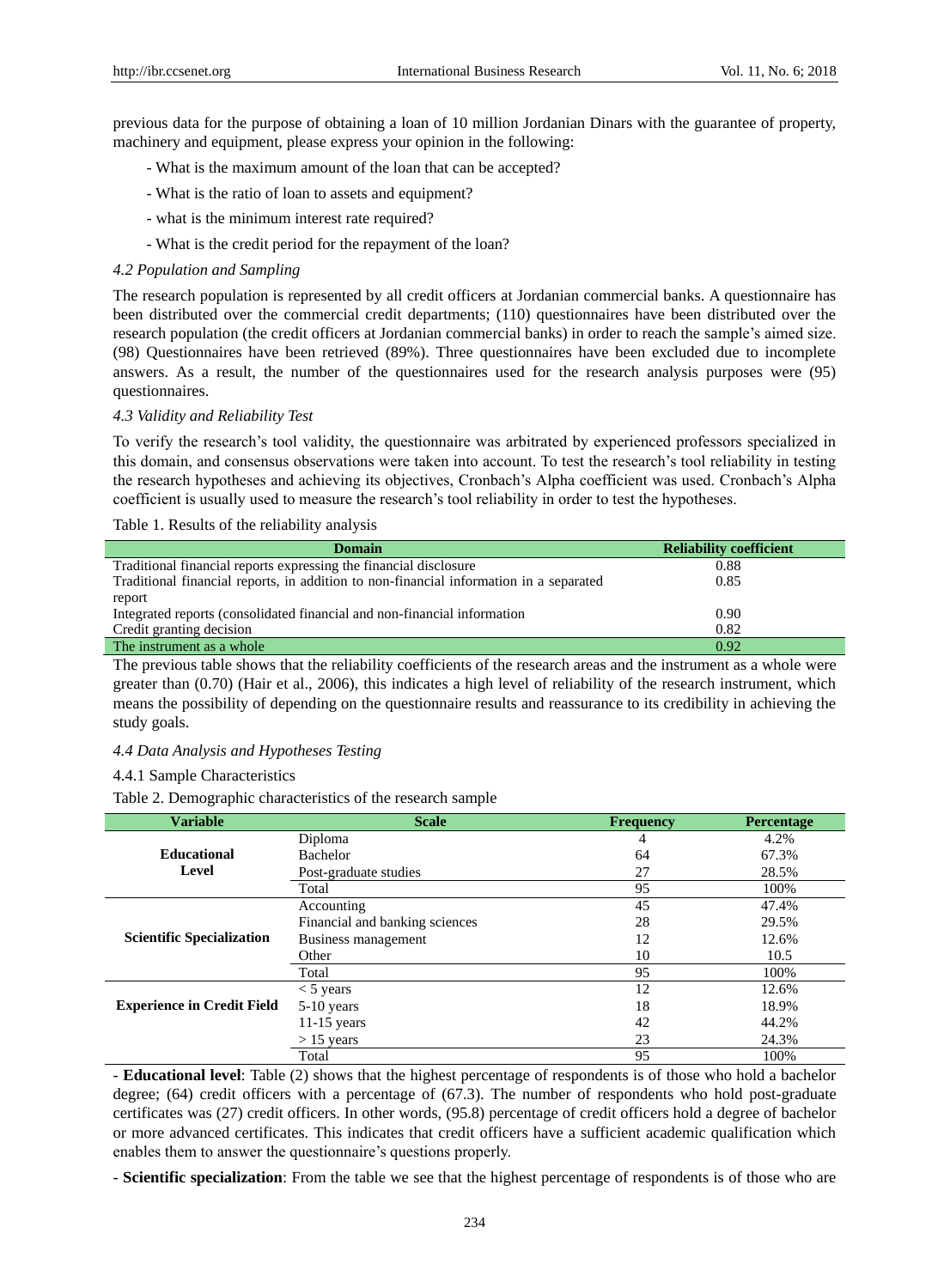previous data for the purpose of obtaining a loan of 10 million Jordanian Dinars with the guarantee of property, machinery and equipment, please express your opinion in the following:

- What is the maximum amount of the loan that can be accepted?
- What is the ratio of loan to assets and equipment?
- what is the minimum interest rate required?
- What is the credit period for the repayment of the loan?

## *4.2 Population and Sampling*

The research population is represented by all credit officers at Jordanian commercial banks. A questionnaire has been distributed over the commercial credit departments; (110) questionnaires have been distributed over the research population (the credit officers at Jordanian commercial banks) in order to reach the sample's aimed size. (98) Questionnaires have been retrieved (89%). Three questionnaires have been excluded due to incomplete answers. As a result, the number of the questionnaires used for the research analysis purposes were (95) questionnaires.

#### *4.3 Validity and Reliability Test*

To verify the research's tool validity, the questionnaire was arbitrated by experienced professors specialized in this domain, and consensus observations were taken into account. To test the research's tool reliability in testing the research hypotheses and achieving its objectives, Cronbach's Alpha coefficient was used. Cronbach's Alpha coefficient is usually used to measure the research's tool reliability in order to test the hypotheses.

## Table 1. Results of the reliability analysis

| Domain                                                                                 | <b>Reliability coefficient</b> |
|----------------------------------------------------------------------------------------|--------------------------------|
| Traditional financial reports expressing the financial disclosure                      | 0.88                           |
| Traditional financial reports, in addition to non-financial information in a separated | 0.85                           |
| report                                                                                 |                                |
| Integrated reports (consolidated financial and non-financial information               | 0.90                           |
| Credit granting decision                                                               | 0.82                           |
| The instrument as a whole                                                              | 0.92                           |

The previous table shows that the reliability coefficients of the research areas and the instrument as a whole were greater than (0.70) (Hair et al., 2006), this indicates a high level of reliability of the research instrument, which means the possibility of depending on the questionnaire results and reassurance to its credibility in achieving the study goals.

## *4.4 Data Analysis and Hypotheses Testing*

#### 4.4.1 Sample Characteristics

Table 2. Demographic characteristics of the research sample

| <b>Variable</b>                   | <b>Scale</b>                   | <b>Frequency</b>                 | <b>Percentage</b> |
|-----------------------------------|--------------------------------|----------------------------------|-------------------|
|                                   | Diploma                        | 4                                | 4.2%              |
| <b>Educational</b>                | Bachelor                       | 64                               | 67.3%             |
| Level                             | Post-graduate studies          | 27                               | 28.5%             |
|                                   | Total                          | 95                               | 100%              |
|                                   | Accounting                     | 45                               | 47.4%             |
|                                   | Financial and banking sciences | 28                               | 29.5%             |
| <b>Scientific Specialization</b>  | Business management            | 12                               | 12.6%             |
|                                   | Other                          | 10                               | 10.5              |
|                                   | Total                          | 95<br>12<br>18<br>42<br>23<br>95 | 100%              |
|                                   | $<$ 5 years                    |                                  | 12.6%             |
| <b>Experience in Credit Field</b> | 5-10 years                     |                                  | 18.9%             |
|                                   | $11-15$ years                  |                                  | 44.2%             |
|                                   | $> 15$ years                   |                                  | 24.3%             |
|                                   | Total                          |                                  | 100%              |

- **Educational level**: Table (2) shows that the highest percentage of respondents is of those who hold a bachelor degree; (64) credit officers with a percentage of (67.3). The number of respondents who hold post-graduate certificates was (27) credit officers. In other words, (95.8) percentage of credit officers hold a degree of bachelor or more advanced certificates. This indicates that credit officers have a sufficient academic qualification which enables them to answer the questionnaire's questions properly.

- **Scientific specialization**: From the table we see that the highest percentage of respondents is of those who are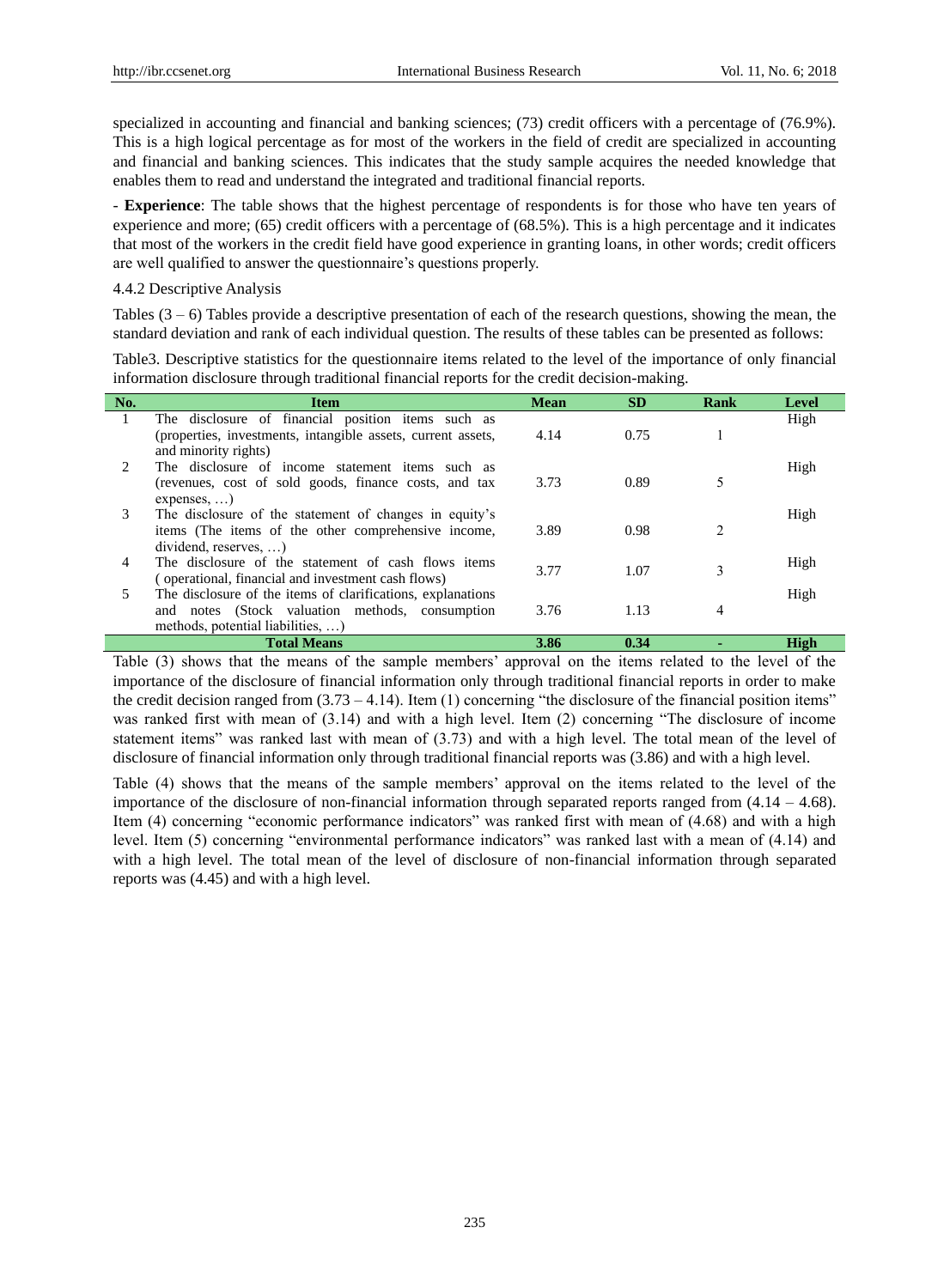specialized in accounting and financial and banking sciences; (73) credit officers with a percentage of (76.9%). This is a high logical percentage as for most of the workers in the field of credit are specialized in accounting and financial and banking sciences. This indicates that the study sample acquires the needed knowledge that enables them to read and understand the integrated and traditional financial reports.

- **Experience**: The table shows that the highest percentage of respondents is for those who have ten years of experience and more; (65) credit officers with a percentage of (68.5%). This is a high percentage and it indicates that most of the workers in the credit field have good experience in granting loans, in other words; credit officers are well qualified to answer the questionnaire's questions properly.

## 4.4.2 Descriptive Analysis

Tables  $(3 - 6)$  Tables provide a descriptive presentation of each of the research questions, showing the mean, the standard deviation and rank of each individual question. The results of these tables can be presented as follows:

Table3. Descriptive statistics for the questionnaire items related to the level of the importance of only financial information disclosure through traditional financial reports for the credit decision-making.

| No.                         | <b>Item</b>                                                  | <b>Mean</b> | <b>SD</b> | Rank | Level       |
|-----------------------------|--------------------------------------------------------------|-------------|-----------|------|-------------|
|                             | The disclosure of financial position items such as           |             |           |      | High        |
|                             | (properties, investments, intangible assets, current assets, | 4.14        | 0.75      |      |             |
|                             | and minority rights)                                         |             |           |      |             |
| $\mathcal{D}_{\mathcal{L}}$ | The disclosure of income statement items such as             |             |           |      | High        |
|                             | (revenues, cost of sold goods, finance costs, and tax        | 3.73        | 0.89      | 5    |             |
|                             | $expenses, \ldots)$                                          |             |           |      |             |
| 3                           | The disclosure of the statement of changes in equity's       |             |           |      | High        |
|                             | items (The items of the other comprehensive income,          | 3.89        | 0.98      | 2    |             |
|                             | $dividend, reserves, \ldots)$                                |             |           |      |             |
| 4                           | The disclosure of the statement of cash flows items          | 3.77        | 1.07      | 3    | High        |
|                             | (operational, financial and investment cash flows)           |             |           |      |             |
| 5                           | The disclosure of the items of clarifications, explanations  |             |           |      | High        |
|                             | and notes (Stock valuation methods, consumption              | 3.76        | 1.13      | 4    |             |
|                             | methods, potential liabilities,                              |             |           |      |             |
|                             | <b>Total Means</b>                                           | 3.86        | 0.34      |      | <b>High</b> |

Table (3) shows that the means of the sample members' approval on the items related to the level of the importance of the disclosure of financial information only through traditional financial reports in order to make the credit decision ranged from  $(3.73 - 4.14)$ . Item (1) concerning "the disclosure of the financial position items" was ranked first with mean of  $(3.14)$  and with a high level. Item (2) concerning "The disclosure of income statement items" was ranked last with mean of (3.73) and with a high level. The total mean of the level of disclosure of financial information only through traditional financial reports was (3.86) and with a high level.

Table (4) shows that the means of the sample members' approval on the items related to the level of the importance of the disclosure of non-financial information through separated reports ranged from (4.14 – 4.68). Item (4) concerning "economic performance indicators" was ranked first with mean of (4.68) and with a high level. Item (5) concerning "environmental performance indicators" was ranked last with a mean of (4.14) and with a high level. The total mean of the level of disclosure of non-financial information through separated reports was (4.45) and with a high level.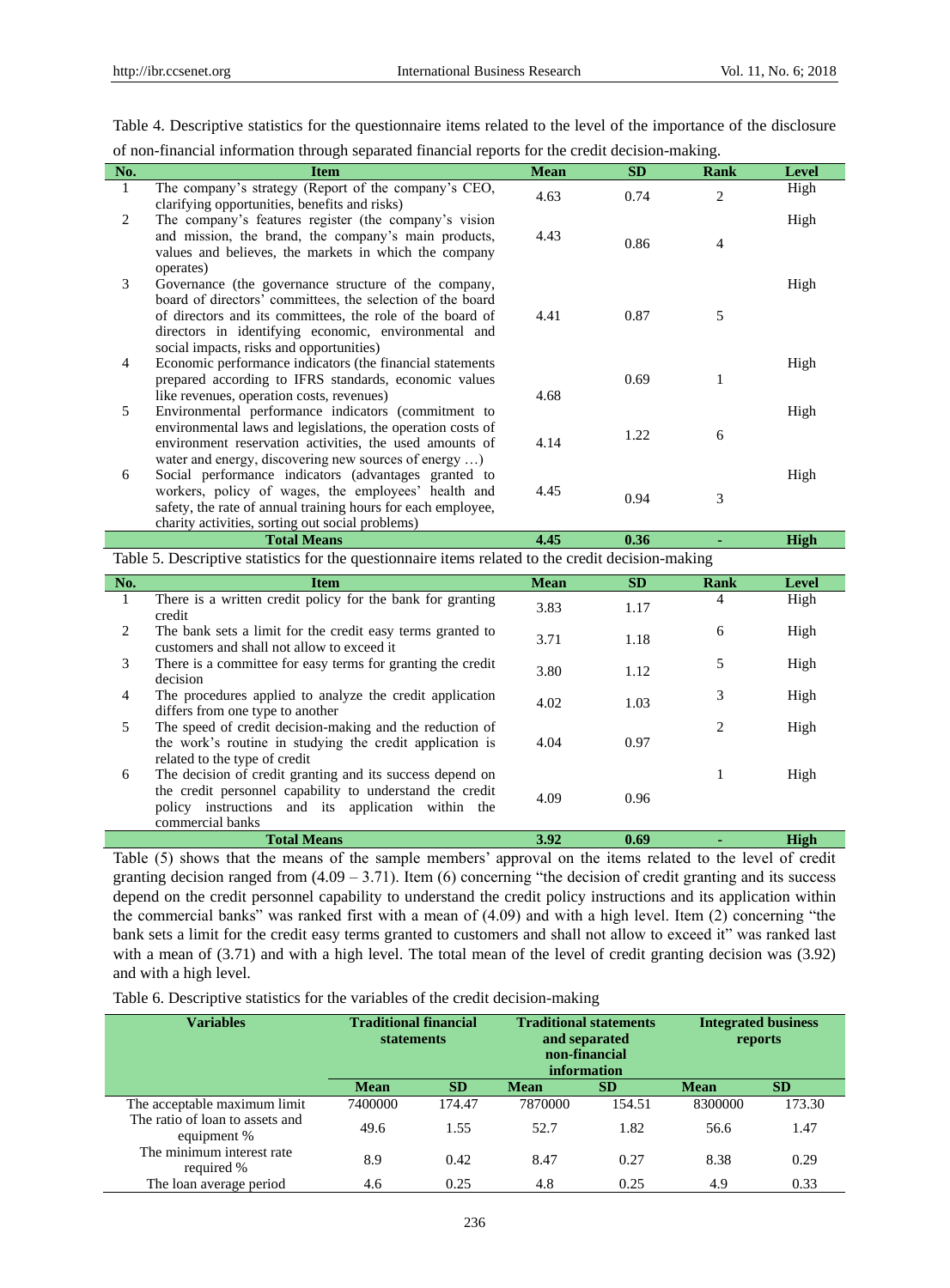|     | of non-financial information through separated financial reports for the credit decision-making. |             | <b>SD</b> | <b>Rank</b>    |              |
|-----|--------------------------------------------------------------------------------------------------|-------------|-----------|----------------|--------------|
| No. | <b>Item</b>                                                                                      | <b>Mean</b> |           |                | <b>Level</b> |
| 1   | The company's strategy (Report of the company's CEO,                                             | 4.63        | 0.74      | $\overline{c}$ | High         |
|     | clarifying opportunities, benefits and risks)                                                    |             |           |                |              |
| 2   | The company's features register (the company's vision                                            |             |           |                | High         |
|     | and mission, the brand, the company's main products,                                             | 4.43        | 0.86      | 4              |              |
|     | values and believes, the markets in which the company                                            |             |           |                |              |
|     | operates)                                                                                        |             |           |                |              |
| 3   | Governance (the governance structure of the company,                                             |             |           |                | High         |
|     | board of directors' committees, the selection of the board                                       |             |           |                |              |
|     | of directors and its committees, the role of the board of                                        | 4.41        | 0.87      | 5              |              |
|     | directors in identifying economic, environmental and                                             |             |           |                |              |
|     | social impacts, risks and opportunities)                                                         |             |           |                |              |
| 4   | Economic performance indicators (the financial statements                                        |             |           |                | High         |
|     | prepared according to IFRS standards, economic values                                            |             | 0.69      | 1              |              |
|     | like revenues, operation costs, revenues)                                                        | 4.68        |           |                |              |
| 5   | Environmental performance indicators (commitment to                                              |             |           |                | High         |
|     | environmental laws and legislations, the operation costs of                                      |             |           |                |              |
|     | environment reservation activities, the used amounts of                                          | 4.14        | 1.22      | 6              |              |
|     | water and energy, discovering new sources of energy )                                            |             |           |                |              |
| 6   | Social performance indicators (advantages granted to                                             |             |           |                | High         |
|     | workers, policy of wages, the employees' health and                                              | 4.45        |           |                |              |
|     | safety, the rate of annual training hours for each employee,                                     |             | 0.94      | 3              |              |
|     | charity activities, sorting out social problems)                                                 |             |           |                |              |
|     | <b>Total Means</b>                                                                               | 4.45        | 0.36      |                | <b>High</b>  |

Table 4. Descriptive statistics for the questionnaire items related to the level of the importance of the disclosure

Table 5. Descriptive statistics for the questionnaire items related to the credit decision-making

| No. | <b>Item</b>                                                                                                                                                                                     | <b>Mean</b> | <b>SD</b> | <b>Rank</b> | <b>Level</b> |
|-----|-------------------------------------------------------------------------------------------------------------------------------------------------------------------------------------------------|-------------|-----------|-------------|--------------|
| 1   | There is a written credit policy for the bank for granting<br>credit                                                                                                                            | 3.83        | 1.17      | 4           | High         |
| 2   | The bank sets a limit for the credit easy terms granted to<br>customers and shall not allow to exceed it                                                                                        | 3.71        | 1.18      | 6           | High         |
| 3   | There is a committee for easy terms for granting the credit<br>decision                                                                                                                         | 3.80        | 1.12      | 5           | High         |
| 4   | The procedures applied to analyze the credit application<br>differs from one type to another                                                                                                    | 4.02        | 1.03      | 3           | High         |
| 5   | The speed of credit decision-making and the reduction of<br>the work's routine in studying the credit application is<br>related to the type of credit                                           | 4.04        | 0.97      | 2           | High         |
| 6   | The decision of credit granting and its success depend on<br>the credit personnel capability to understand the credit<br>policy instructions and its application within the<br>commercial banks | 4.09        | 0.96      |             | High         |
|     | <b>Total Means</b>                                                                                                                                                                              | 3.92        | 0.69      |             | High         |

Table (5) shows that the means of the sample members' approval on the items related to the level of credit granting decision ranged from  $(4.09 - 3.71)$ . Item  $(6)$  concerning "the decision of credit granting and its success depend on the credit personnel capability to understand the credit policy instructions and its application within the commercial banks" was ranked first with a mean of (4.09) and with a high level. Item (2) concerning "the bank sets a limit for the credit easy terms granted to customers and shall not allow to exceed it" was ranked last with a mean of  $(3.71)$  and with a high level. The total mean of the level of credit granting decision was  $(3.92)$ and with a high level.

Table 6. Descriptive statistics for the variables of the credit decision-making

| <b>Variables</b>                               | <b>Traditional financial</b><br><b>statements</b> |           |             | <b>Traditional statements</b><br>and separated<br>non-financial<br><i>information</i> | <b>Integrated business</b><br>reports |           |
|------------------------------------------------|---------------------------------------------------|-----------|-------------|---------------------------------------------------------------------------------------|---------------------------------------|-----------|
|                                                | <b>Mean</b>                                       | <b>SD</b> | <b>Mean</b> | <b>SD</b>                                                                             | <b>Mean</b>                           | <b>SD</b> |
| The acceptable maximum limit                   | 7400000                                           | 174.47    | 7870000     | 154.51                                                                                | 8300000                               | 173.30    |
| The ratio of loan to assets and<br>equipment % | 49.6                                              | 1.55      | 52.7        | 1.82                                                                                  | 56.6                                  | 1.47      |
| The minimum interest rate<br>required %        | 8.9                                               | 0.42      | 8.47        | 0.27                                                                                  | 8.38                                  | 0.29      |
| The loan average period                        | 4.6                                               | 0.25      | 4.8         | 0.25                                                                                  | 4.9                                   | 0.33      |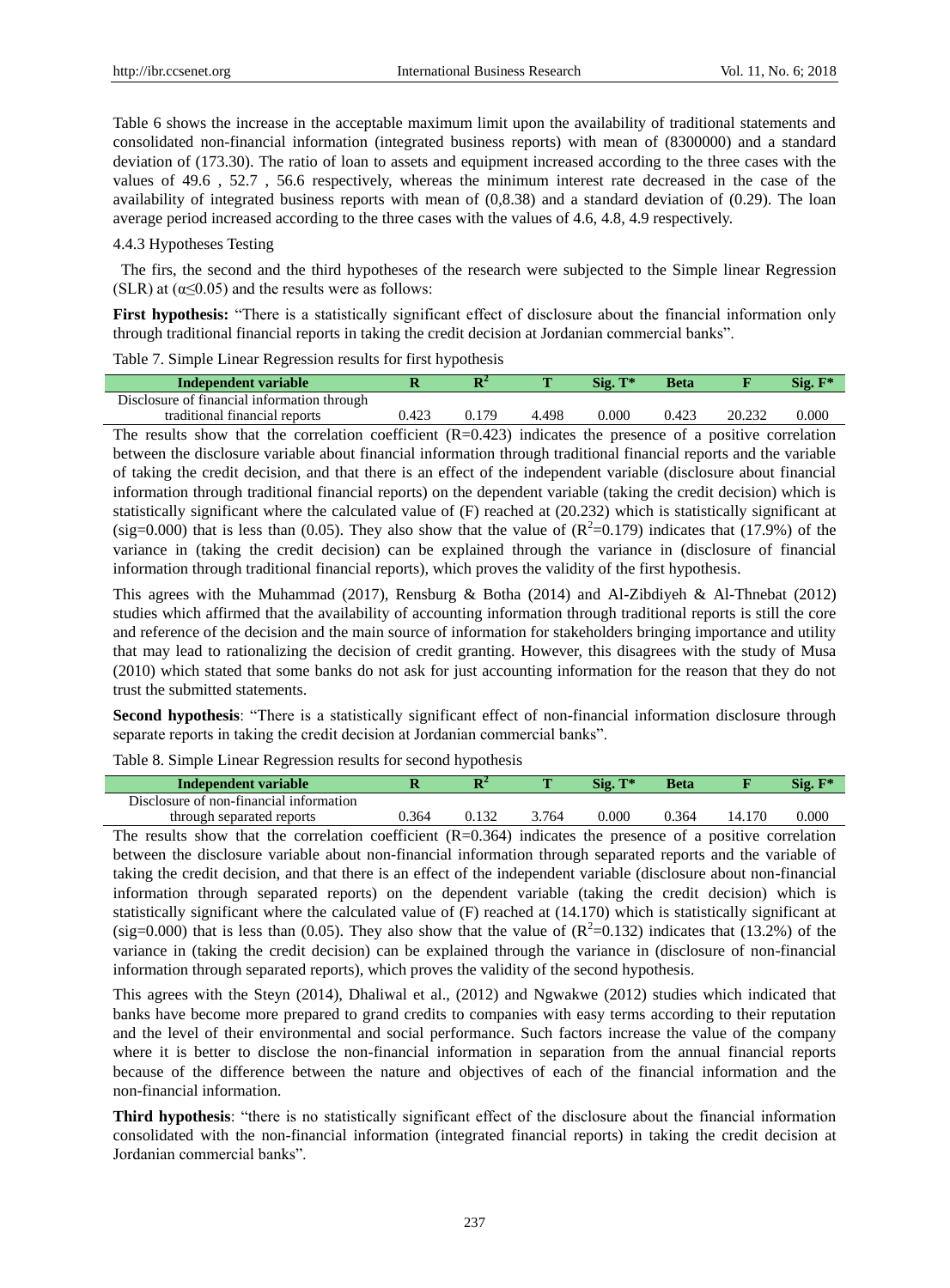Table 6 shows the increase in the acceptable maximum limit upon the availability of traditional statements and consolidated non-financial information (integrated business reports) with mean of (8300000) and a standard deviation of (173.30). The ratio of loan to assets and equipment increased according to the three cases with the values of 49.6 , 52.7 , 56.6 respectively, whereas the minimum interest rate decreased in the case of the availability of integrated business reports with mean of (0,8.38) and a standard deviation of (0.29). The loan average period increased according to the three cases with the values of 4.6, 4.8, 4.9 respectively.

## 4.4.3 Hypotheses Testing

The firs, the second and the third hypotheses of the research were subjected to the Simple linear Regression (SLR) at  $(\alpha \le 0.05)$  and the results were as follows:

First hypothesis: "There is a statistically significant effect of disclosure about the financial information only through traditional financial reports in taking the credit decision at Jordanian commercial banks".

Table 7. Simple Linear Regression results for first hypothesis

| Independent variable                        |       | Dʻ<br>$\blacksquare$ | m   | Sio   | Beta |        | Sig.<br>T/% |
|---------------------------------------------|-------|----------------------|-----|-------|------|--------|-------------|
| Disclosure of financial information through |       |                      |     |       |      |        |             |
| traditional financial reports               | 0.423 | 0.179                | 498 | 0.000 |      | 20.232 | $0.000\,$   |

The results show that the correlation coefficient  $(R=0.423)$  indicates the presence of a positive correlation between the disclosure variable about financial information through traditional financial reports and the variable of taking the credit decision, and that there is an effect of the independent variable (disclosure about financial information through traditional financial reports) on the dependent variable (taking the credit decision) which is statistically significant where the calculated value of (F) reached at (20.232) which is statistically significant at (sig=0.000) that is less than (0.05). They also show that the value of  $(R^2=0.179)$  indicates that (17.9%) of the variance in (taking the credit decision) can be explained through the variance in (disclosure of financial information through traditional financial reports), which proves the validity of the first hypothesis.

This agrees with the Muhammad (2017), Rensburg & Botha (2014) and Al-Zibdiyeh & Al-Thnebat (2012) studies which affirmed that the availability of accounting information through traditional reports is still the core and reference of the decision and the main source of information for stakeholders bringing importance and utility that may lead to rationalizing the decision of credit granting. However, this disagrees with the study of Musa (2010) which stated that some banks do not ask for just accounting information for the reason that they do not trust the submitted statements.

**Second hypothesis**: "There is a statistically significant effect of non-financial information disclosure through separate reports in taking the credit decision at Jordanian commercial banks".

Table 8. Simple Linear Regression results for second hypothesis

| Independent variable                    | .     | . . | m     | $C2 -$<br>$T^*$ | <b>Beta</b> |        | <b>Sio</b><br>T/% |
|-----------------------------------------|-------|-----|-------|-----------------|-------------|--------|-------------------|
| Disclosure of non-financial information |       |     |       |                 |             |        |                   |
| through separated reports               | 0.364 |     | 3.764 | 0.000           | J.364       | .4.170 | 000.              |

The results show that the correlation coefficient (R=0.364) indicates the presence of a positive correlation between the disclosure variable about non-financial information through separated reports and the variable of taking the credit decision, and that there is an effect of the independent variable (disclosure about non-financial information through separated reports) on the dependent variable (taking the credit decision) which is statistically significant where the calculated value of (F) reached at (14.170) which is statistically significant at (sig=0.000) that is less than (0.05). They also show that the value of  $(R^2=0.132)$  indicates that (13.2%) of the variance in (taking the credit decision) can be explained through the variance in (disclosure of non-financial information through separated reports), which proves the validity of the second hypothesis.

This agrees with the Steyn (2014), Dhaliwal et al., (2012) and Ngwakwe (2012) studies which indicated that banks have become more prepared to grand credits to companies with easy terms according to their reputation and the level of their environmental and social performance. Such factors increase the value of the company where it is better to disclose the non-financial information in separation from the annual financial reports because of the difference between the nature and objectives of each of the financial information and the non-financial information.

**Third hypothesis**: "there is no statistically significant effect of the disclosure about the financial information consolidated with the non-financial information (integrated financial reports) in taking the credit decision at Jordanian commercial banks".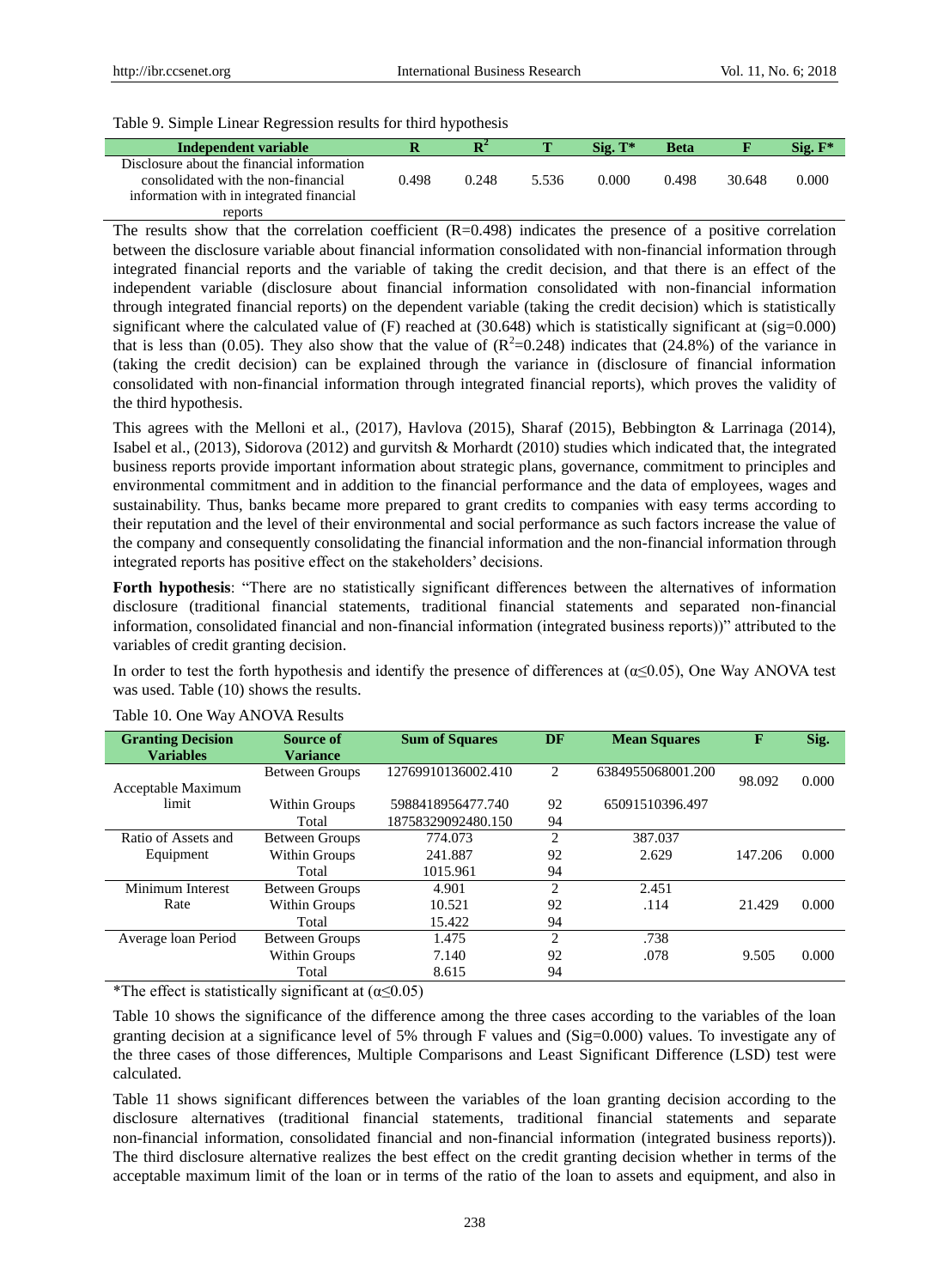Table 9. Simple Linear Regression results for third hypothesis

| Independent variable                       |       |       |       | $Sig. T^*$ | <b>Beta</b> |        | $Sig. F^*$ |
|--------------------------------------------|-------|-------|-------|------------|-------------|--------|------------|
| Disclosure about the financial information |       |       |       |            |             |        |            |
| consolidated with the non-financial        | 0.498 | 0.248 | 5.536 | 0.000      | 0.498       | 30.648 | 0.000      |
| information with in integrated financial   |       |       |       |            |             |        |            |
| reports                                    |       |       |       |            |             |        |            |

The results show that the correlation coefficient  $(R=0.498)$  indicates the presence of a positive correlation between the disclosure variable about financial information consolidated with non-financial information through integrated financial reports and the variable of taking the credit decision, and that there is an effect of the independent variable (disclosure about financial information consolidated with non-financial information through integrated financial reports) on the dependent variable (taking the credit decision) which is statistically significant where the calculated value of  $(F)$  reached at (30.648) which is statistically significant at (sig=0.000) that is less than (0.05). They also show that the value of  $(R^2=0.248)$  indicates that (24.8%) of the variance in (taking the credit decision) can be explained through the variance in (disclosure of financial information consolidated with non-financial information through integrated financial reports), which proves the validity of the third hypothesis.

This agrees with the Melloni et al., (2017), Havlova (2015), Sharaf (2015), Bebbington & Larrinaga (2014), Isabel et al., (2013), Sidorova (2012) and gurvitsh & Morhardt (2010) studies which indicated that, the integrated business reports provide important information about strategic plans, governance, commitment to principles and environmental commitment and in addition to the financial performance and the data of employees, wages and sustainability. Thus, banks became more prepared to grant credits to companies with easy terms according to their reputation and the level of their environmental and social performance as such factors increase the value of the company and consequently consolidating the financial information and the non-financial information through integrated reports has positive effect on the stakeholders' decisions.

**Forth hypothesis**: "There are no statistically significant differences between the alternatives of information disclosure (traditional financial statements, traditional financial statements and separated non-financial information, consolidated financial and non-financial information (integrated business reports))" attributed to the variables of credit granting decision.

In order to test the forth hypothesis and identify the presence of differences at ( $\alpha \le 0.05$ ), One Way ANOVA test was used. Table (10) shows the results.

| <b>Granting Decision</b>                                                                                                   | <b>Source of</b>      | <b>Sum of Squares</b> | DF             | <b>Mean Squares</b> | F       | Sig.  |
|----------------------------------------------------------------------------------------------------------------------------|-----------------------|-----------------------|----------------|---------------------|---------|-------|
| <b>Variables</b>                                                                                                           | <b>Variance</b>       |                       |                |                     |         |       |
|                                                                                                                            | Between Groups        | 12769910136002.410    | 2              | 6384955068001.200   |         |       |
| Acceptable Maximum                                                                                                         |                       |                       |                |                     | 98.092  | 0.000 |
| limit                                                                                                                      | Within Groups         | 5988418956477.740     | 92             | 65091510396.497     |         |       |
|                                                                                                                            | Total                 | 18758329092480.150    | 94             |                     |         |       |
| Ratio of Assets and                                                                                                        | <b>Between Groups</b> | 774.073               | $\overline{c}$ | 387.037             |         |       |
| Equipment                                                                                                                  | Within Groups         | 241.887               | 92             | 2.629               | 147.206 | 0.000 |
|                                                                                                                            | Total                 | 1015.961              | 94             |                     |         |       |
| Minimum Interest                                                                                                           | <b>Between Groups</b> | 4.901                 | $\overline{2}$ | 2.451               |         |       |
| Rate                                                                                                                       | Within Groups         | 10.521                | 92             | .114                | 21.429  | 0.000 |
|                                                                                                                            | Total                 | 15.422                | 94             |                     |         |       |
| Average loan Period                                                                                                        | <b>Between Groups</b> | 1.475                 | $\overline{c}$ | .738                |         |       |
|                                                                                                                            | Within Groups         | 7.140                 | 92             | .078                | 9.505   | 0.000 |
|                                                                                                                            | Total                 | 8.615                 | 94             |                     |         |       |
| $\star$ TL $\sim$ C <sub>c</sub> $\star$ is statistical and $\sim$ is $\sim$ C <sub>c</sub> and at $(\sim$ $\ltimes$ 0.05) |                       |                       |                |                     |         |       |

## Table 10. One Way ANOVA Results

\*The effect is statistically significant at  $(\alpha \le 0.05)$ 

Table 10 shows the significance of the difference among the three cases according to the variables of the loan granting decision at a significance level of 5% through F values and (Sig=0.000) values. To investigate any of the three cases of those differences, Multiple Comparisons and Least Significant Difference (LSD) test were calculated.

Table 11 shows significant differences between the variables of the loan granting decision according to the disclosure alternatives (traditional financial statements, traditional financial statements and separate non-financial information, consolidated financial and non-financial information (integrated business reports)). The third disclosure alternative realizes the best effect on the credit granting decision whether in terms of the acceptable maximum limit of the loan or in terms of the ratio of the loan to assets and equipment, and also in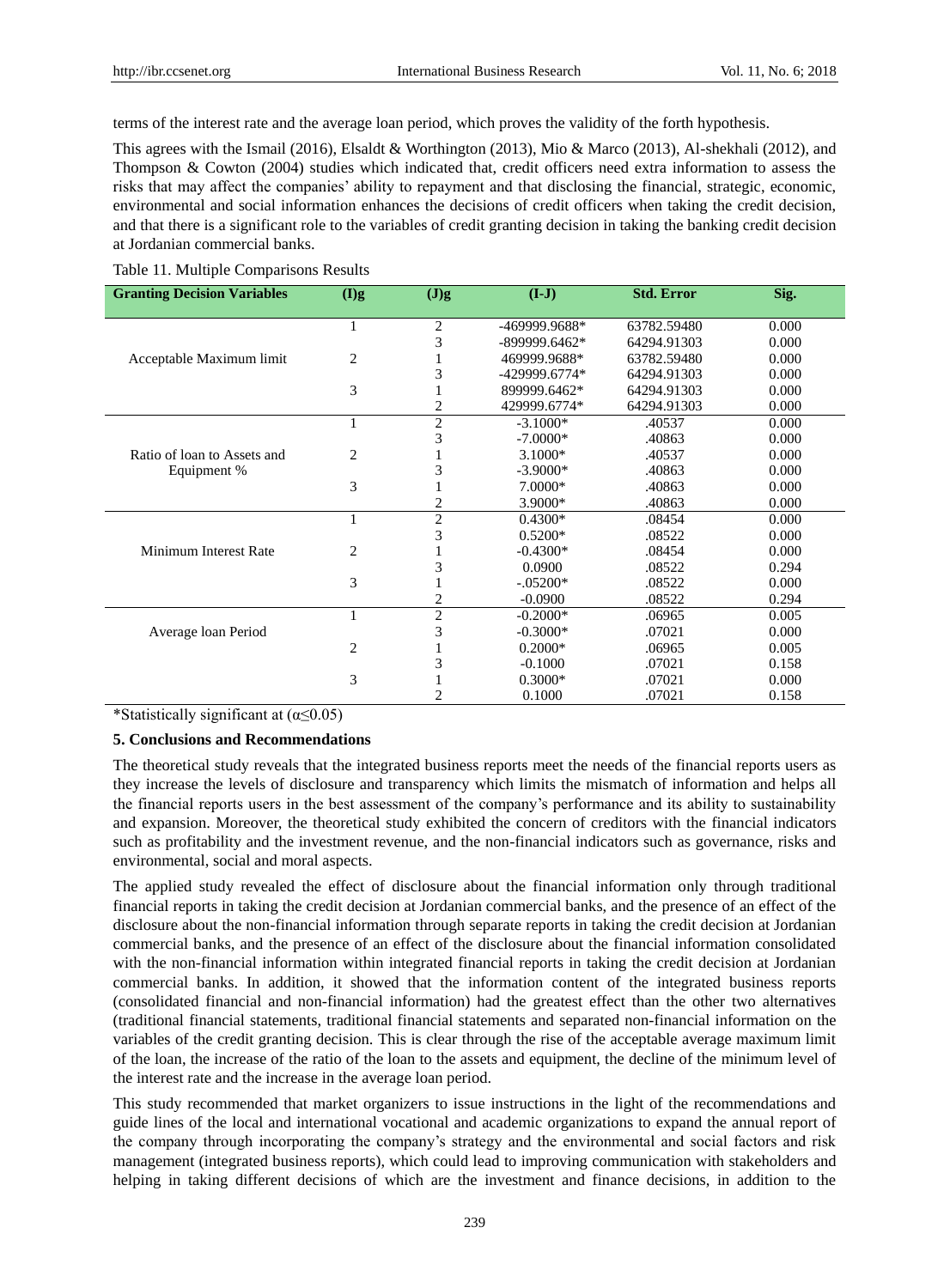terms of the interest rate and the average loan period, which proves the validity of the forth hypothesis.

This agrees with the Ismail (2016), Elsaldt & Worthington (2013), Mio & Marco (2013), Al-shekhali (2012), and Thompson & Cowton (2004) studies which indicated that, credit officers need extra information to assess the risks that may affect the companies' ability to repayment and that disclosing the financial, strategic, economic, environmental and social information enhances the decisions of credit officers when taking the credit decision, and that there is a significant role to the variables of credit granting decision in taking the banking credit decision at Jordanian commercial banks.

## Table 11. Multiple Comparisons Results

| <b>Granting Decision Variables</b> | (I)g | $\left(\mathbf{J}\right)\mathbf{g}$ | $(I-J)$       | <b>Std. Error</b> | Sig.  |
|------------------------------------|------|-------------------------------------|---------------|-------------------|-------|
|                                    | 1    | $\overline{c}$                      | -469999.9688* | 63782.59480       | 0.000 |
|                                    |      | 3                                   | -899999.6462* | 64294.91303       | 0.000 |
| Acceptable Maximum limit           | 2    |                                     | 469999.9688*  | 63782.59480       | 0.000 |
|                                    |      | 3                                   | -429999.6774* | 64294.91303       | 0.000 |
|                                    | 3    |                                     | 899999.6462*  | 64294.91303       | 0.000 |
|                                    |      | 2                                   | 429999.6774*  | 64294.91303       | 0.000 |
|                                    |      | $\overline{c}$                      | $-3.1000*$    | .40537            | 0.000 |
|                                    |      | 3                                   | $-7.0000*$    | .40863            | 0.000 |
| Ratio of loan to Assets and        | 2    |                                     | $3.1000*$     | .40537            | 0.000 |
| Equipment %                        |      | 3                                   | $-3.9000*$    | .40863            | 0.000 |
|                                    | 3    |                                     | 7.0000*       | .40863            | 0.000 |
|                                    |      | $\overline{c}$                      | 3.9000*       | .40863            | 0.000 |
|                                    |      | $\overline{2}$                      | $0.4300*$     | .08454            | 0.000 |
|                                    |      | 3                                   | $0.5200*$     | .08522            | 0.000 |
| Minimum Interest Rate              | 2    |                                     | $-0.4300*$    | .08454            | 0.000 |
|                                    |      | 3                                   | 0.0900        | .08522            | 0.294 |
|                                    | 3    |                                     | $-.05200*$    | .08522            | 0.000 |
|                                    |      | 2                                   | $-0.0900$     | .08522            | 0.294 |
|                                    |      | $\overline{2}$                      | $-0.2000*$    | .06965            | 0.005 |
| Average loan Period                |      | 3                                   | $-0.3000*$    | .07021            | 0.000 |
|                                    | 2    |                                     | $0.2000*$     | .06965            | 0.005 |
|                                    |      | 3                                   | $-0.1000$     | .07021            | 0.158 |
|                                    | 3    |                                     | $0.3000*$     | .07021            | 0.000 |
|                                    |      | 2                                   | 0.1000        | .07021            | 0.158 |

\*Statistically significant at  $(\alpha \le 0.05)$ 

#### **5. Conclusions and Recommendations**

The theoretical study reveals that the integrated business reports meet the needs of the financial reports users as they increase the levels of disclosure and transparency which limits the mismatch of information and helps all the financial reports users in the best assessment of the company's performance and its ability to sustainability and expansion. Moreover, the theoretical study exhibited the concern of creditors with the financial indicators such as profitability and the investment revenue, and the non-financial indicators such as governance, risks and environmental, social and moral aspects.

The applied study revealed the effect of disclosure about the financial information only through traditional financial reports in taking the credit decision at Jordanian commercial banks, and the presence of an effect of the disclosure about the non-financial information through separate reports in taking the credit decision at Jordanian commercial banks, and the presence of an effect of the disclosure about the financial information consolidated with the non-financial information within integrated financial reports in taking the credit decision at Jordanian commercial banks. In addition, it showed that the information content of the integrated business reports (consolidated financial and non-financial information) had the greatest effect than the other two alternatives (traditional financial statements, traditional financial statements and separated non-financial information on the variables of the credit granting decision. This is clear through the rise of the acceptable average maximum limit of the loan, the increase of the ratio of the loan to the assets and equipment, the decline of the minimum level of the interest rate and the increase in the average loan period.

This study recommended that market organizers to issue instructions in the light of the recommendations and guide lines of the local and international vocational and academic organizations to expand the annual report of the company through incorporating the company's strategy and the environmental and social factors and risk management (integrated business reports), which could lead to improving communication with stakeholders and helping in taking different decisions of which are the investment and finance decisions, in addition to the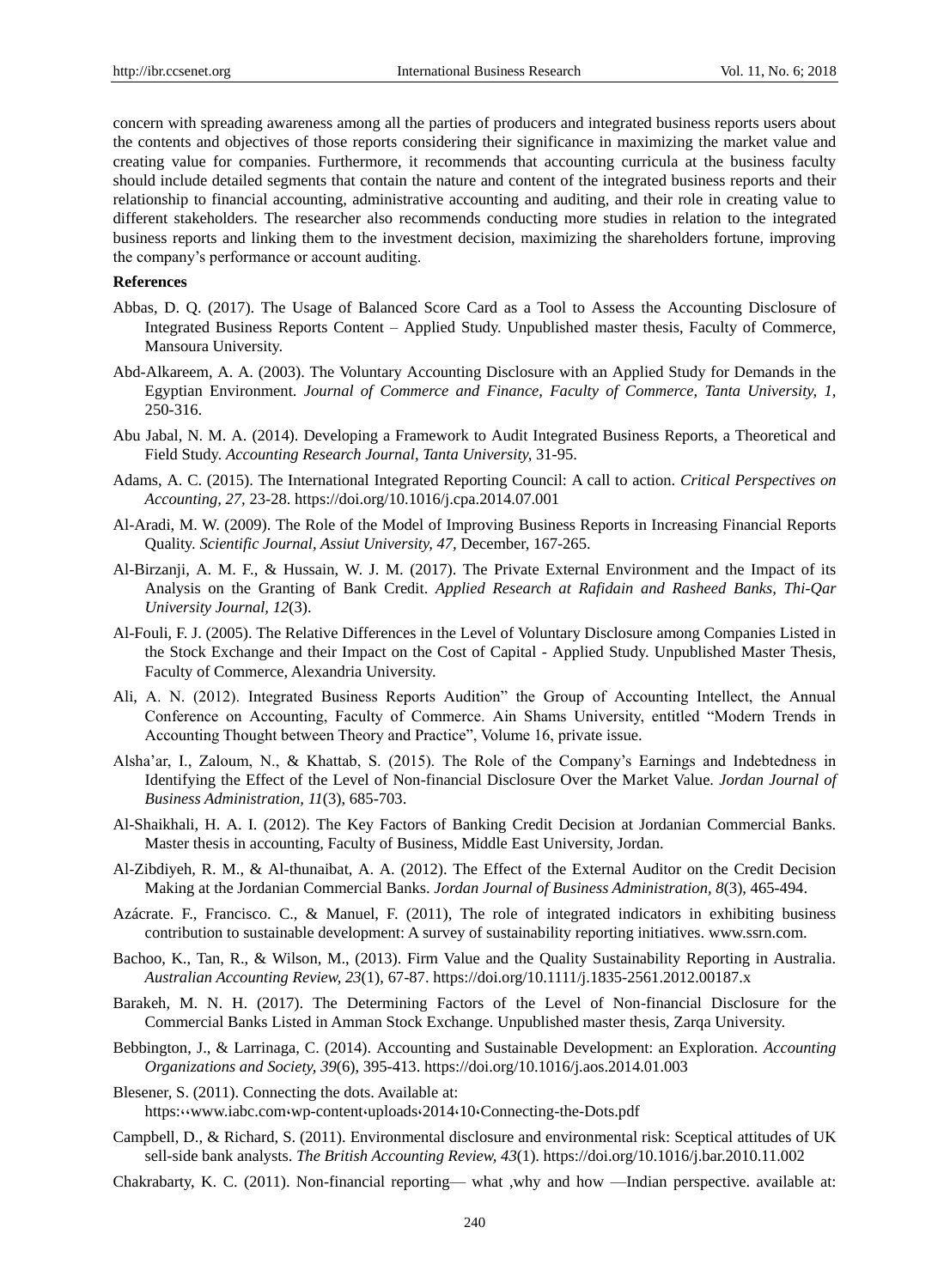concern with spreading awareness among all the parties of producers and integrated business reports users about the contents and objectives of those reports considering their significance in maximizing the market value and creating value for companies. Furthermore, it recommends that accounting curricula at the business faculty should include detailed segments that contain the nature and content of the integrated business reports and their relationship to financial accounting, administrative accounting and auditing, and their role in creating value to different stakeholders. The researcher also recommends conducting more studies in relation to the integrated business reports and linking them to the investment decision, maximizing the shareholders fortune, improving the company's performance or account auditing.

## **References**

- Abbas, D. Q. (2017). The Usage of Balanced Score Card as a Tool to Assess the Accounting Disclosure of Integrated Business Reports Content – Applied Study. Unpublished master thesis, Faculty of Commerce, Mansoura University.
- Abd-Alkareem, A. A. (2003). The Voluntary Accounting Disclosure with an Applied Study for Demands in the Egyptian Environment. *Journal of Commerce and Finance, Faculty of Commerce, Tanta University, 1,* 250-316.
- Abu Jabal, N. M. A. (2014). Developing a Framework to Audit Integrated Business Reports, a Theoretical and Field Study. *Accounting Research Journal, Tanta University,* 31-95.
- Adams, A. C. (2015). The International Integrated Reporting Council: A call to action. *Critical Perspectives on Accounting, 27,* 23-28. https://doi.org/10.1016/j.cpa.2014.07.001
- Al-Aradi, M. W. (2009). The Role of the Model of Improving Business Reports in Increasing Financial Reports Quality. *Scientific Journal, Assiut University, 47,* December, 167-265.
- Al-Birzanji, A. M. F., & Hussain, W. J. M. (2017). The Private External Environment and the Impact of its Analysis on the Granting of Bank Credit. *Applied Research at Rafidain and Rasheed Banks, Thi-Qar University Journal, 12*(3).
- Al-Fouli, F. J. (2005). The Relative Differences in the Level of Voluntary Disclosure among Companies Listed in the Stock Exchange and their Impact on the Cost of Capital - Applied Study. Unpublished Master Thesis, Faculty of Commerce, Alexandria University.
- Ali, A. N. (2012). Integrated Business Reports Audition" the Group of Accounting Intellect, the Annual Conference on Accounting, Faculty of Commerce. Ain Shams University, entitled "Modern Trends in Accounting Thought between Theory and Practice", Volume 16, private issue.
- Alsha'ar, I., Zaloum, N., & Khattab, S. (2015). The Role of the Company's Earnings and Indebtedness in Identifying the Effect of the Level of Non-financial Disclosure Over the Market Value. *Jordan Journal of Business Administration, 11*(3), 685-703.
- Al-Shaikhali, H. A. I. (2012). The Key Factors of Banking Credit Decision at Jordanian Commercial Banks. Master thesis in accounting, Faculty of Business, Middle East University, Jordan.
- Al-Zibdiyeh, R. M., & Al-thunaibat, A. A. (2012). The Effect of the External Auditor on the Credit Decision Making at the Jordanian Commercial Banks. *Jordan Journal of Business Administration, 8*(3), 465-494.
- Azácrate. F., Francisco. C., & Manuel, F. (2011), The role of integrated indicators in exhibiting business contribution to sustainable development: A survey of sustainability reporting initiatives. [www.ssrn.com.](http://www.ssrn.com/)
- Bachoo, K., Tan, R., & Wilson, M., (2013). Firm Value and the Quality Sustainability Reporting in Australia. *Australian Accounting Review, 23*(1), 67-87. https://doi.org/10.1111/j.1835-2561.2012.00187.x
- Barakeh, M. N. H. (2017). The Determining Factors of the Level of Non-financial Disclosure for the Commercial Banks Listed in Amman Stock Exchange. Unpublished master thesis, Zarqa University.
- Bebbington, J., & Larrinaga, C. (2014). Accounting and Sustainable Development: an Exploration. *Accounting Organizations and Society, 39*(6), 395-413. https://doi.org/10.1016/j.aos.2014.01.003
- Blesener, S. (2011). Connecting the dots. Available at: https://www.iabc.com/wp-content/uploads/2014/10/Connecting-the-Dots.pdf
- Campbell, D., & Richard, S. (2011). Environmental disclosure and environmental risk: Sceptical attitudes of UK sell-side bank analysts. *The British Accounting Review, 43*(1). https://doi.org/10.1016/j.bar.2010.11.002
- Chakrabarty, K. C. (2011). Non-financial reporting— what ,why and how —Indian perspective. available at: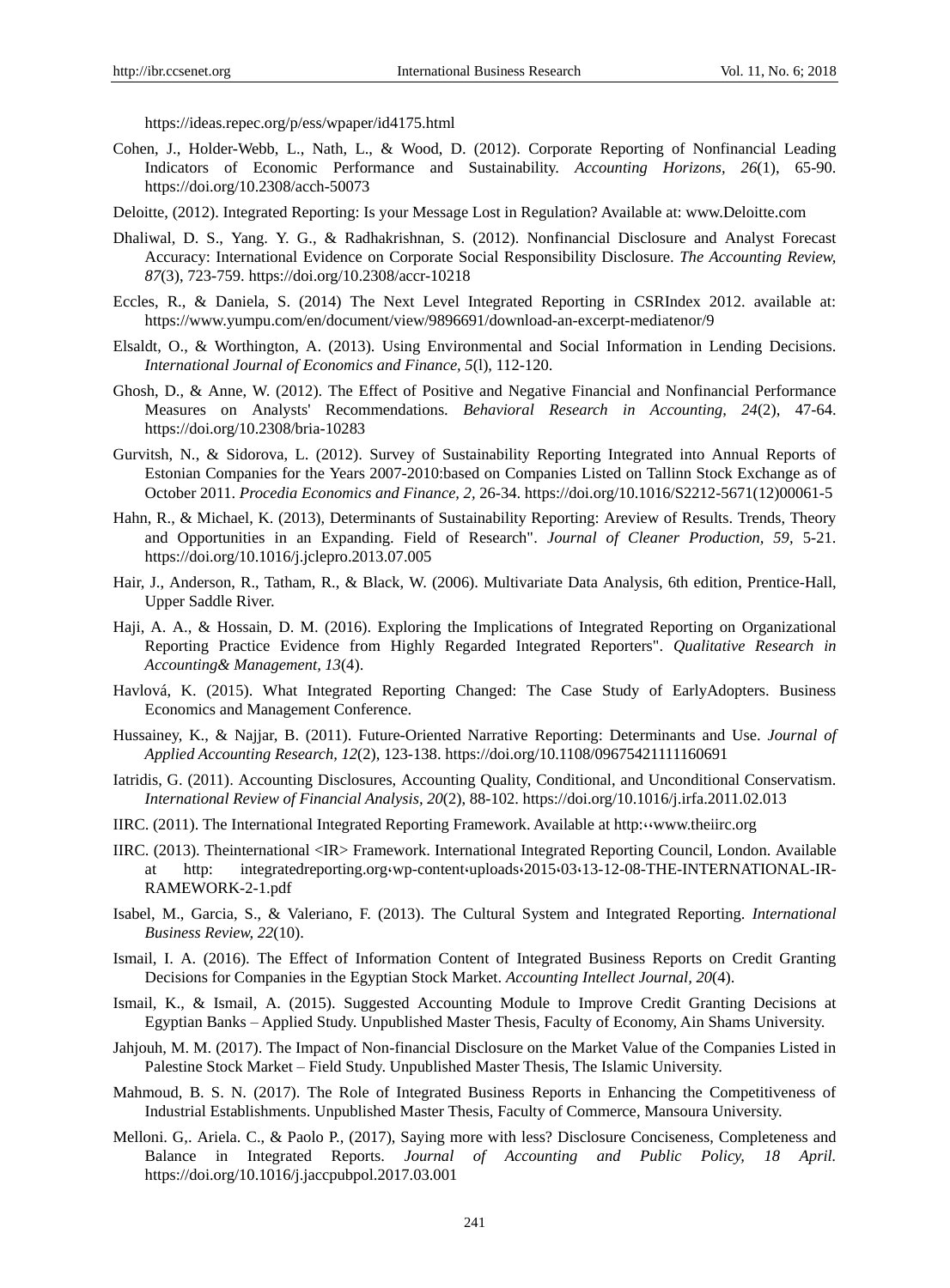<https://ideas.repec.org/p/ess/wpaper/id4175.html>

Cohen, J., Holder-Webb, L., Nath, L., & Wood, D. (2012). Corporate Reporting of Nonfinancial Leading Indicators of Economic Performance and Sustainability. *Accounting Horizons, 26*(1), 65-90. https://doi.org/10.2308/acch-50073

Deloitte, (2012). Integrated Reporting: Is your Message Lost in Regulation? Available at: [www.Deloitte.com](http://www.deloitte.com/)

- Dhaliwal, D. S., Yang. Y. G., & Radhakrishnan, S. (2012). Nonfinancial Disclosure and Analyst Forecast Accuracy: International Evidence on Corporate Social Responsibility Disclosure. *The Accounting Review, 87*(3), 723-759. https://doi.org/10.2308/accr-10218
- Eccles, R., & Daniela, S. (2014) The Next Level Integrated Reporting in CSRIndex 2012. available at: <https://www.yumpu.com/en/document/view/9896691/download-an-excerpt-mediatenor/9>
- Elsaldt, O., & Worthington, A. (2013). Using Environmental and Social Information in Lending Decisions. *International Journal of Economics and Finance, 5*(l), 112-120.
- Ghosh, D., & Anne, W. (2012). The Effect of Positive and Negative Financial and Nonfinancial Performance Measures on Analysts' Recommendations. *Behavioral Research in Accounting, 24*(2), 47-64. https://doi.org/10.2308/bria-10283
- Gurvitsh, N., & Sidorova, L. (2012). Survey of Sustainability Reporting Integrated into Annual Reports of Estonian Companies for the Years 2007-2010:based on Companies Listed on Tallinn Stock Exchange as of October 2011. *Procedia Economics and Finance, 2,* 26-34. https://doi.org/10.1016/S2212-5671(12)00061-5
- Hahn, R., & Michael, K. (2013), Determinants of Sustainability Reporting: Areview of Results. Trends, Theory and Opportunities in an Expanding. Field of Research". *Journal of Cleaner Production, 59,* 5-21. https://doi.org/10.1016/j.jclepro.2013.07.005
- Hair, J., Anderson, R., Tatham, R., & Black, W. (2006). Multivariate Data Analysis, 6th edition, Prentice-Hall, Upper Saddle River.
- Haji, A. A., & Hossain, [D. M.](http://www.emeraldinsight.com/author/Hossain%2C+Dewan+Mahboob) (2016). Exploring the Implications of Integrated Reporting on Organizational Reporting Practice Evidence from Highly Regarded Integrated Reporters". *Qualitative Research in Accounting& Management, 13*(4).
- Havlová, K. (2015). What Integrated Reporting Changed: The Case Study of EarlyAdopters. Business Economics and Management Conference.
- Hussainey, K., & Najjar, B. (2011). Future-Oriented Narrative Reporting: Determinants and Use. *Journal of Applied Accounting Research, 12*(2), 123-138. https://doi.org/10.1108/09675421111160691
- Iatridis, G. (2011). Accounting Disclosures, Accounting Quality, Conditional, and Unconditional Conservatism. *International Review of Financial Analysis, 20*(2), 88-102. https://doi.org/10.1016/j.irfa.2011.02.013
- IIRC. (2011). The International Integrated Reporting Framework. Available at [http:،،www.theiirc.org](http://www.theiirc.org/)
- IIRC. (2013). Theinternational <IR> Framework. International Integrated Reporting Council, London. Available at http: integratedreporting.org،wp-content،uploads،2015،03،13-12-08-THE-INTERNATIONAL-IR-RAMEWORK-2-1.pdf
- Isabel, M., Garcia, S., & Valeriano, F. (2013). The Cultural System and Integrated Reporting. *International Business Review, 22*(10).
- Ismail, I. A. (2016). The Effect of Information Content of Integrated Business Reports on Credit Granting Decisions for Companies in the Egyptian Stock Market. *Accounting Intellect Journal, 20*(4).
- Ismail, K., & Ismail, A. (2015). Suggested Accounting Module to Improve Credit Granting Decisions at Egyptian Banks – Applied Study. Unpublished Master Thesis, Faculty of Economy, Ain Shams University.
- Jahjouh, M. M. (2017). The Impact of Non-financial Disclosure on the Market Value of the Companies Listed in Palestine Stock Market – Field Study. Unpublished Master Thesis, The Islamic University.
- Mahmoud, B. S. N. (2017). The Role of Integrated Business Reports in Enhancing the Competitiveness of Industrial Establishments. Unpublished Master Thesis, Faculty of Commerce, Mansoura University.
- Melloni. G,. Ariela. C., & Paolo P., (2017), Saying more with less? Disclosure Conciseness, Completeness and Balance in Integrated Reports. *Journal of Accounting and Public Policy, 18 April.* https://doi.org/10.1016/j.jaccpubpol.2017.03.001